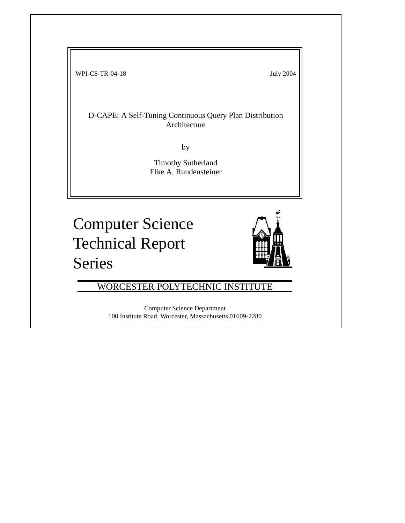WPI-CS-TR-04-18 July 2004

D-CAPE: A Self-Tuning Continuous Query Plan Distribution Architecture

by

Timothy Sutherland Elke A. Rundensteiner

Computer Science Technical Report Series



the contract of the contract of the contract of the contract of the contract of the contract of the contract of

WORCESTER POLYTECHNIC INSTITUTE

Computer Science Department 100 Institute Road, Worcester, Massachusetts 01609-2280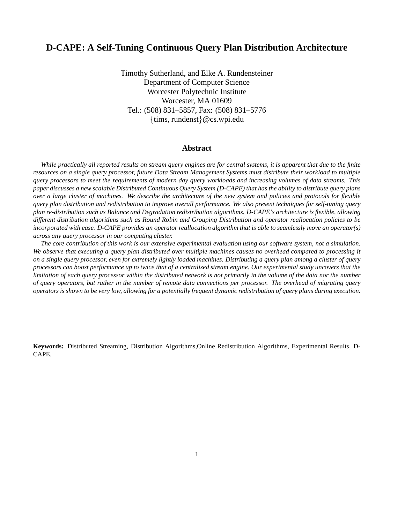# **D-CAPE: A Self-Tuning Continuous Query Plan Distribution Architecture**

Timothy Sutherland, and Elke A. Rundensteiner Department of Computer Science Worcester Polytechnic Institute Worcester, MA 01609 Tel.: (508) 831–5857, Fax: (508) 831–5776 {tims, rundenst}@cs.wpi.edu

## **Abstract**

*While practically all reported results on stream query engines are for central systems, it is apparent that due to the finite resources on a single query processor, future Data Stream Management Systems must distribute their workload to multiple query processors to meet the requirements of modern day query workloads and increasing volumes of data streams. This paper discusses a new scalable Distributed Continuous Query System (D-CAPE) that has the ability to distribute query plans over a large cluster of machines. We describe the architecture of the new system and policies and protocols for flexible query plan distribution and redistribution to improve overall performance. We also present techniques for self-tuning query plan re-distribution such as Balance and Degradation redistribution algorithms. D-CAPE's architecture is flexible, allowing different distribution algorithms such as Round Robin and Grouping Distribution and operator reallocation policies to be incorporated with ease. D-CAPE provides an operator reallocation algorithm that is able to seamlessly move an operator(s) across any query processor in our computing cluster.*

*The core contribution of this work is our extensive experimental evaluation using our software system, not a simulation. We observe that executing a query plan distributed over multiple machines causes no overhead compared to processing it on a single query processor, even for extremely lightly loaded machines. Distributing a query plan among a cluster of query processors can boost performance up to twice that of a centralized stream engine. Our experimental study uncovers that the limitation of each query processor within the distributed network is not primarily in the volume of the data nor the number of query operators, but rather in the number of remote data connections per processor. The overhead of migrating query operators is shown to be very low, allowing for a potentially frequent dynamic redistribution of query plans during execution.*

**Keywords:** Distributed Streaming, Distribution Algorithms,Online Redistribution Algorithms, Experimental Results, D-CAPE.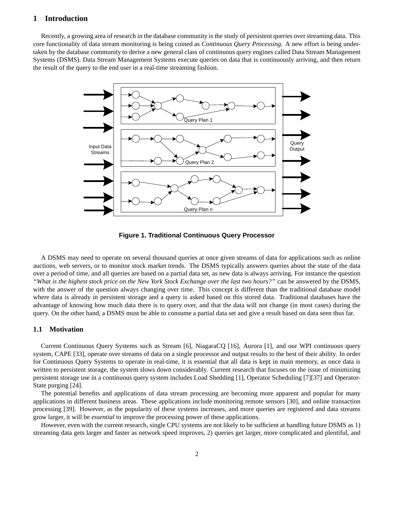## **1 Introduction**

Recently, a growing area of research in the database community is the study of persistent queries over streaming data. This core functionality of data stream monitoring is being coined as *Continuous Query Processing*. A new effort is being undertaken by the database community to derive a new general class of continuous query engines called Data Stream Management Systems (DSMS). Data Stream Management Systems execute queries on data that is continuously arriving, and then return the result of the query to the end user in a real-time streaming fashion.



**Figure 1. Traditional Continuous Query Processor**

A DSMS may need to operate on several thousand queries at once given streams of data for applications such as online auctions, web servers, or to monitor stock market trends. The DSMS typically answers queries about the state of the data over a period of time, and all queries are based on a partial data set, as new data is always arriving. For instance the question *"What is the highest stock price on the New York Stock Exchange over the last two hours?"* can be answered by the DSMS, with the answer of the question always changing over time. This concept is different than the traditional database model where data is already in persistent storage and a query is asked based on this stored data. Traditional databases have the advantage of knowing how much data there is to query over, and that the data will not change (in most cases) during the query. On the other hand, a DSMS must be able to consume a partial data set and give a result based on data seen thus far.

#### **1.1 Motivation**

Current Continuous Query Systems such as Stream [6], NiagaraCQ [16], Aurora [1], and our WPI continuous query system, CAPE [33], operate over streams of data on a single processor and output results to the best of their ability. In order for Continuous Query Systems to operate in real-time, it is essential that all data is kept in main memory, as once data is written to persistent storage, the system slows down considerably. Current research that focuses on the issue of minimizing persistent storage use in a continuous query system includes Load Shedding [1], Operator Scheduling [7][37] and Operator-State purging [24].

The potential benefits and applications of data stream processing are becoming more apparent and popular for many applications in different business areas. These applications include monitoring remote sensors [30], and online transaction processing [39]. However, as the popularity of these systems increases, and more queries are registered and data streams grow larger, it will be *essential* to improve the processing power of these applications.

However, even with the current research, single CPU systems are not likely to be sufficient at handling future DSMS as 1) streaming data gets larger and faster as network speed improves, 2) queries get larger, more complicated and plentiful, and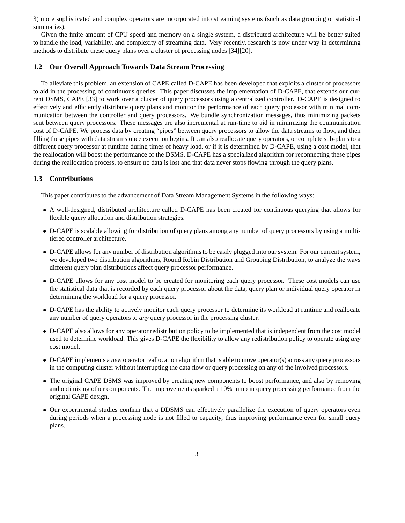3) more sophisticated and complex operators are incorporated into streaming systems (such as data grouping or statistical summaries).

Given the finite amount of CPU speed and memory on a single system, a distributed architecture will be better suited to handle the load, variability, and complexity of streaming data. Very recently, research is now under way in determining methods to distribute these query plans over a cluster of processing nodes [34][20].

### **1.2 Our Overall Approach Towards Data Stream Processing**

To alleviate this problem, an extension of CAPE called D-CAPE has been developed that exploits a cluster of processors to aid in the processing of continuous queries. This paper discusses the implementation of D-CAPE, that extends our current DSMS, CAPE [33] to work over a cluster of query processors using a centralized controller. D-CAPE is designed to effectively and efficiently distribute query plans and monitor the performance of each query processor with minimal communication between the controller and query processors. We bundle synchronization messages, thus minimizing packets sent between query processors. These messages are also incremental at run-time to aid in minimizing the communication cost of D-CAPE. We process data by creating "pipes" between query processors to allow the data streams to flow, and then filling these pipes with data streams once execution begins. It can also reallocate query operators, or complete sub-plans to a different query processor at runtime during times of heavy load, or if it is determined by D-CAPE, using a cost model, that the reallocation will boost the performance of the DSMS. D-CAPE has a specialized algorithm for reconnecting these pipes during the reallocation process, to ensure no data is lost and that data never stops flowing through the query plans.

## **1.3 Contributions**

This paper contributes to the advancement of Data Stream Management Systems in the following ways:

- A well-designed, distributed architecture called D-CAPE has been created for continuous querying that allows for flexible query allocation and distribution strategies.
- D-CAPE is scalable allowing for distribution of query plans among any number of query processors by using a multitiered controller architecture.
- D-CAPE allows for any number of distribution algorithms to be easily plugged into our system. For our current system, we developed two distribution algorithms, Round Robin Distribution and Grouping Distribution, to analyze the ways different query plan distributions affect query processor performance.
- D-CAPE allows for any cost model to be created for monitoring each query processor. These cost models can use the statistical data that is recorded by each query processor about the data, query plan or individual query operator in determining the workload for a query processor.
- D-CAPE has the ability to actively monitor each query processor to determine its workload at runtime and reallocate any number of query operators to *any* query processor in the processing cluster.
- D-CAPE also allows for any operator redistribution policy to be implemented that is independent from the cost model used to determine workload. This gives D-CAPE the flexibility to allow any redistribution policy to operate using *any* cost model.
- D-CAPE implements a *new* operator reallocation algorithm that is able to move operator(s) across any query processors in the computing cluster without interrupting the data flow or query processing on any of the involved processors.
- The original CAPE DSMS was improved by creating new components to boost performance, and also by removing and optimizing other components. The improvements sparked a 10% jump in query processing performance from the original CAPE design.
- Our experimental studies confirm that a DDSMS can effectively parallelize the execution of query operators even during periods when a processing node is not filled to capacity, thus improving performance even for small query plans.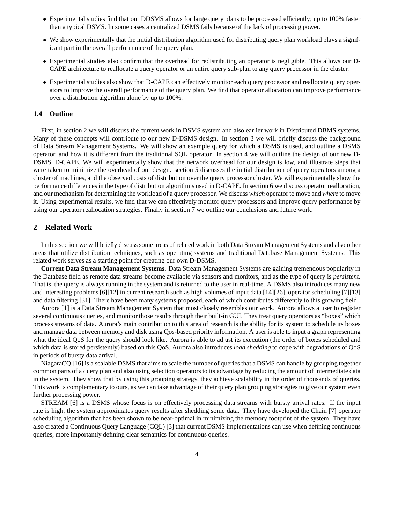- Experimental studies find that our DDSMS allows for large query plans to be processed efficiently; up to 100% faster than a typical DSMS. In some cases a centralized DSMS fails because of the lack of processing power.
- We show experimentally that the initial distribution algorithm used for distributing query plan workload plays a significant part in the overall performance of the query plan.
- Experimental studies also confirm that the overhead for redistributing an operator is negligible. This allows our D-CAPE architecture to reallocate a query operator or an entire query sub-plan to any query processor in the cluster.
- Experimental studies also show that D-CAPE can effectively monitor each query processor and reallocate query operators to improve the overall performance of the query plan. We find that operator allocation can improve performance over a distribution algorithm alone by up to 100%.

#### **1.4 Outline**

First, in section 2 we will discuss the current work in DSMS system and also earlier work in Distributed DBMS systems. Many of these concepts will contribute to our new D-DSMS design. In section 3 we will briefly discuss the background of Data Stream Management Systems. We will show an example query for which a DSMS is used, and outline a DSMS operator, and how it is different from the traditional SQL operator. In section 4 we will outline the design of our new D-DSMS, D-CAPE. We will experimentally show that the network overhead for our design is low, and illustrate steps that were taken to minimize the overhead of our design. section 5 discusses the initial distribution of query operators among a cluster of machines, and the observed costs of distribution over the query processor cluster. We will experimentally show the performance differences in the type of distribution algorithms used in D-CAPE. In section 6 we discuss operator reallocation, and our mechanism for determining the workload of a query processor. We discuss *which* operator to move and *where* to move it. Using experimental results, we find that we can effectively monitor query processors and improve query performance by using our operator reallocation strategies. Finally in section 7 we outline our conclusions and future work.

## **2 Related Work**

In this section we will briefly discuss some areas of related work in both Data Stream Management Systems and also other areas that utilize distribution techniques, such as operating systems and traditional Database Management Systems. This related work serves as a starting point for creating our own D-DSMS.

**Current Data Stream Management Systems.** Data Stream Management Systems are gaining tremendous popularity in the Database field as remote data streams become available via sensors and monitors, and as the type of query is *persistent*. That is, the query is always running in the system and is returned to the user in real-time. A DSMS also introduces many new and interesting problems [6][12] in current research such as high volumes of input data [14][26], operator scheduling [7][13] and data filtering [31]. There have been many systems proposed, each of which contributes differently to this growing field.

Aurora [1] is a Data Stream Management System that most closely resembles our work. Aurora allows a user to register several continuous queries, and monitor those results through their built-in GUI. They treat query operators as "boxes" which process streams of data. Aurora's main contribution to this area of research is the ability for its system to schedule its boxes and manage data between memory and disk using Qos-based priority information. A user is able to input a graph representing what the ideal QoS for the query should look like. Aurora is able to adjust its execution (the order of boxes scheduled and which data is stored persistently) based on this QoS. Aurora also introduces *load shedding* to cope with degradations of QoS in periods of bursty data arrival.

NiagaraCQ [16] is a scalable DSMS that aims to scale the number of queries that a DSMS can handle by grouping together common parts of a query plan and also using selection operators to its advantage by reducing the amount of intermediate data in the system. They show that by using this grouping strategy, they achieve scalability in the order of thousands of queries. This work is complementary to ours, as we can take advantage of their query plan grouping strategies to give our system even further processing power.

STREAM [6] is a DSMS whose focus is on effectively processing data streams with bursty arrival rates. If the input rate is high, the system approximates query results after shedding some data. They have developed the Chain [7] operator scheduling algorithm that has been shown to be near-optimal in minimizing the memory footprint of the system. They have also created a Continuous Query Language (CQL) [3] that current DSMS implementations can use when defining continuous queries, more importantly defining clear semantics for continuous queries.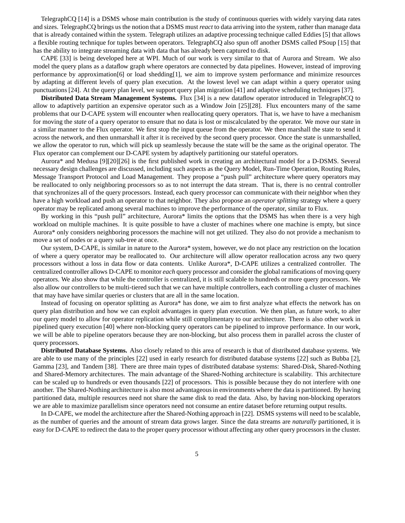TelegraphCQ [14] is a DSMS whose main contribution is the study of continuous queries with widely varying data rates and sizes. TelegraphCQ brings us the notion that a DSMS must *react* to data arriving into the system, rather than manage data that is already contained within the system. Telegraph utilizes an adaptive processing technique called Eddies [5] that allows a flexible routing technique for tuples between operators. TelegraphCQ also spun off another DSMS called PSoup [15] that has the ability to integrate streaming data with data that has already been captured to disk.

CAPE [33] is being developed here at WPI. Much of our work is very similar to that of Aurora and Stream. We also model the query plans as a dataflow graph where operators are connected by data pipelines. However, instead of improving performance by approximation[6] or load shedding[1], we aim to improve system performance and minimize resources by adapting at different levels of query plan execution. At the lowest level we can adapt within a query operator using punctuations [24]. At the query plan level, we support query plan migration [41] and adaptive scheduling techniques [37].

**Distributed Data Stream Management Systems.** Flux [34] is a new dataflow operator introduced in TelegraphCQ to allow to adaptively partition an expensive operator such as a Window Join [25][28]. Flux encounters many of the same problems that our D-CAPE system will encounter when reallocating query operators. That is, we have to have a mechanism for moving the *state* of a query operator to ensure that no data is lost or miscalculated by the operator. We move our state in a similar manner to the Flux operator. We first stop the input queue from the operator. We then marshall the state to send it across the network, and then unmarshall it after it is received by the second query processor. Once the state is unmarshalled, we allow the operator to run, which will pick up seamlessly because the state will be the same as the original operator. The Flux operator can complement our D-CAPE system by adaptively partitioning our stateful operators.

Aurora\* and Medusa [9][20][26] is the first published work in creating an architectural model for a D-DSMS. Several necessary design challenges are discussed, including such aspects as the Query Model, Run-Time Operation, Routing Rules, Message Transport Protocol and Load Management. They propose a "push pull" architecture where query operators may be reallocated to only neighboring processors so as to not interrupt the data stream. That is, there is no central controller that synchronizes all of the query processors. Instead, each query processor can communicate with their neighbor when they have a high workload and push an operator to that neighbor. They also propose an *operator splitting* strategy where a query operator may be replicated among several machines to improve the performance of the operator, similar to Flux.

By working in this "push pull" architecture, Aurora\* limits the options that the DSMS has when there is a very high workload on multiple machines. It is quite possible to have a cluster of machines where one machine is empty, but since Aurora\* only considers neighboring processors the machine will not get utilized. They also do not provide a mechanism to move a set of nodes or a query sub-tree at once.

Our system, D-CAPE, is similar in nature to the Aurora\* system, however, we do not place any restriction on the location of where a query operator may be reallocated to. Our architecture will allow operator reallocation across any two query processors without a loss in data flow or data contents. Unlike Aurora\*, D-CAPE utilizes a centralized controller. The centralized controller allows D-CAPE to monitor *each* query processor and consider the global ramifications of moving query operators. We also show that while the controller is centralized, it is still scalable to hundreds or more query processors. We also allow our controllers to be multi-tiered such that we can have multiple controllers, each controlling a cluster of machines that may have have similar queries or clusters that are all in the same location.

Instead of focusing on operator splitting as Aurora\* has done, we aim to first analyze what effects the network has on query plan distribution and how we can exploit advantages in query plan execution. We then plan, as future work, to alter our query model to allow for operator replication while still complimentary to our architecture. There is also other work in pipelined query execution [40] where non-blocking query operators can be pipelined to improve performance. In our work, we will be able to pipeline operators because they are non-blocking, but also process them in parallel across the cluster of query processors.

**Distributed Database Systems.** Also closely related to this area of research is that of distributed database systems. We are able to use many of the principles [22] used in early research for distributed database systems [22] such as Bubba [2], Gamma [23], and Tandem [38]. There are three main types of distributed database systems: Shared-Disk, Shared-Nothing and Shared-Memory architectures. The main advantage of the Shared-Nothing architecture is scalability. This architecture can be scaled up to hundreds or even thousands [22] of processors. This is possible because they do not interfere with one another. The Shared-Nothing architecture is also most advantageous in environments where the data is partitioned. By having partitioned data, multiple resources need not share the same disk to read the data. Also, by having non-blocking operators we are able to maximize parallelism since operators need not consume an entire dataset before returning output results.

In D-CAPE, we model the architecture after the Shared-Nothing approach in [22]. DSMS systems will need to be scalable, as the number of queries and the amount of stream data grows larger. Since the data streams are *naturally* partitioned, it is easy for D-CAPE to redirect the data to the proper query processor without affecting any other query processors in the cluster.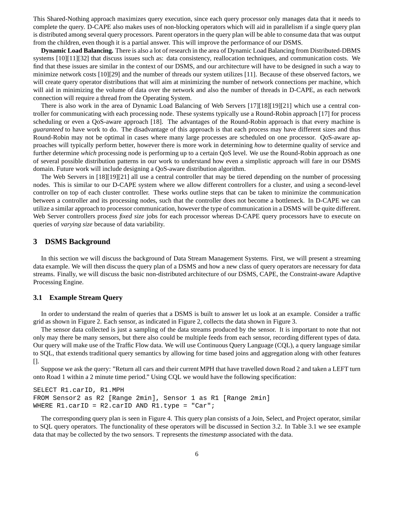This Shared-Nothing approach maximizes query execution, since each query processor only manages data that it needs to complete the query. D-CAPE also makes uses of non-blocking operators which will aid in parallelism if a single query plan is distributed among several query processors. Parent operators in the query plan will be able to consume data that was output from the children, even though it is a partial answer. This will improve the performance of our DSMS.

**Dynamic Load Balancing.** There is also a lot of research in the area of Dynamic Load Balancing from Distributed-DBMS systems [10][11][32] that discuss issues such as: data consistency, reallocation techniques, and communication costs. We find that these issues are similar in the context of our DSMS, and our architecture will have to be designed in such a way to minimize network costs [10][29] and the number of threads our system utilizes [11]. Because of these observed factors, we will create query operator distributions that will aim at minimizing the number of network connections per machine, which will aid in minimizing the volume of data over the network and also the number of threads in D-CAPE, as each network connection will require a thread from the Operating System.

There is also work in the area of Dynamic Load Balancing of Web Servers [17][18][19][21] which use a central controller for communicating with each processing node. These systems typically use a Round-Robin approach [17] for process scheduling or even a QoS-aware approach [18]. The advantages of the Round-Robin approach is that every machine is *guaranteed* to have work to do. The disadvantage of this approach is that each process may have different sizes and thus Round-Robin may not be optimal in cases where many large processes are scheduled on one processor. QoS-aware approaches will typically perform better, however there is more work in determining *how* to determine quality of service and further determine *which* processing node is performing up to a certain QoS level. We use the Round-Robin approach as one of several possible distribution patterns in our work to understand how even a simplistic approach will fare in our DSMS domain. Future work will include designing a QoS-aware distribution algorithm.

The Web Servers in [18][19][21] all use a central controller that may be tiered depending on the number of processing nodes. This is similar to our D-CAPE system where we allow different controllers for a cluster, and using a second-level controller on top of each cluster controller. These works outline steps that can be taken to minimize the communication between a controller and its processing nodes, such that the controller does not become a bottleneck. In D-CAPE we can utilize a similar approach to processor communication, however the type of communication in a DSMS will be quite different. Web Server controllers process *fixed size* jobs for each processor whereas D-CAPE query processors have to execute on queries of *varying size* because of data variability.

### **3 DSMS Background**

In this section we will discuss the background of Data Stream Management Systems. First, we will present a streaming data example. We will then discuss the query plan of a DSMS and how a new class of query operators are necessary for data streams. Finally, we will discuss the basic non-distributed architecture of our DSMS, CAPE, the Constraint-aware Adaptive Processing Engine.

## **3.1 Example Stream Query**

In order to understand the realm of queries that a DSMS is built to answer let us look at an example. Consider a traffic grid as shown in Figure 2. Each sensor, as indicated in Figure 2, collects the data shown in Figure 3.

The sensor data collected is just a sampling of the data streams produced by the sensor. It is important to note that not only may there be many sensors, but there also could be multiple feeds from each sensor, recording different types of data. Our query will make use of the Traffic Flow data. We will use Continuous Query Language (CQL), a query language similar to SQL, that extends traditional query semantics by allowing for time based joins and aggregation along with other features [].

Suppose we ask the query: "Return all cars and their current MPH that have travelled down Road 2 and taken a LEFT turn onto Road 1 within a 2 minute time period." Using CQL we would have the following specification:

```
SELECT R1.carID, R1.MPH
FROM Sensor2 as R2 [Range 2min], Sensor 1 as R1 [Range 2min]
WHERE R1.carID = R2.carID AND R1.type = "Car";
```
The corresponding query plan is seen in Figure 4. This query plan consists of a Join, Select, and Project operator, similar to SQL query operators. The functionality of these operators will be discussed in Section 3.2. In Table 3.1 we see example data that may be collected by the two sensors. T represents the *timestamp* associated with the data.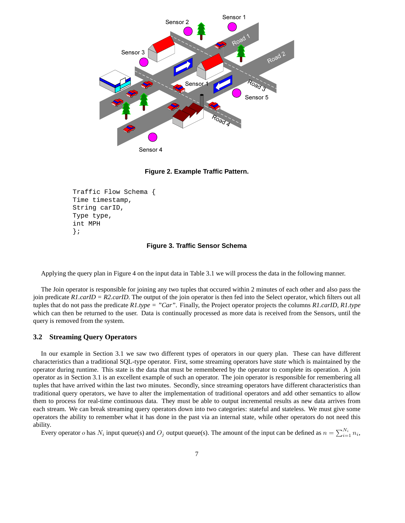

**Figure 2. Example Traffic Pattern.**

```
Traffic Flow Schema {
Time timestamp,
String carID,
Type type,
int MPH
};
```
**Figure 3. Traffic Sensor Schema**

Applying the query plan in Figure 4 on the input data in Table 3.1 we will process the data in the following manner.

The Join operator is responsible for joining any two tuples that occured within 2 minutes of each other and also pass the join predicate *R1.carID = R2.carID*. The output of the join operator is then fed into the Select operator, which filters out all tuples that do not pass the predicate *R1.type = "Car"*. Finally, the Project operator projects the columns *R1.carID, R1.type* which can then be returned to the user. Data is continually processed as more data is received from the Sensors, until the query is removed from the system.

## **3.2 Streaming Query Operators**

In our example in Section 3.1 we saw two different types of operators in our query plan. These can have different characteristics than a traditional SQL-type operator. First, some streaming operators have *state* which is maintained by the operator during runtime. This state is the data that must be remembered by the operator to complete its operation. A join operator as in Section 3.1 is an excellent example of such an operator. The join operator is responsible for remembering all tuples that have arrived within the last two minutes. Secondly, since streaming operators have different characteristics than traditional query operators, we have to alter the implementation of traditional operators and add other semantics to allow them to process for real-time continuous data. They must be able to output incremental results as new data arrives from each stream. We can break streaming query operators down into two categories: stateful and stateless. We must give some operators the ability to remember what it has done in the past via an internal state, while other operators do not need this ability.

Every operator *o* has  $N_i$  input queue(s) and  $O_j$  output queue(s). The amount of the input can be defined as  $n = \sum_{i=1}^{N_i} n_i$ ,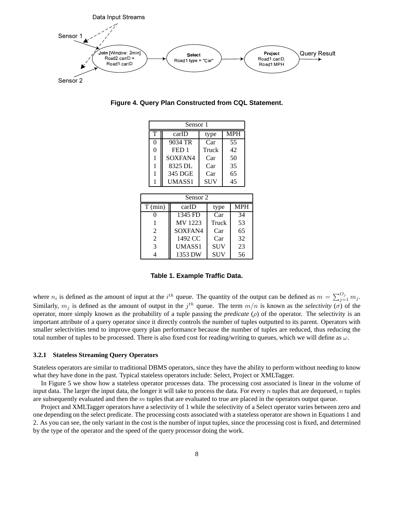

**Figure 4. Query Plan Constructed from CQL Statement.**

|                | Sensor 1 |  |          |  |            |  |            |  |
|----------------|----------|--|----------|--|------------|--|------------|--|
|                | T        |  | carID    |  | type       |  | <b>MPH</b> |  |
|                | 0        |  | 9034 TR  |  | Car        |  | 55         |  |
|                | 0        |  | FED 1    |  | Truck      |  | 42         |  |
|                | 1        |  | SOXFAN4  |  | Car        |  | 50         |  |
|                | 1        |  | 8325 DL  |  | Car        |  | 35         |  |
|                | 1        |  | 345 DGE  |  | Car        |  | 65         |  |
|                |          |  | UMASS1   |  | <b>SUV</b> |  | 45         |  |
|                |          |  |          |  |            |  |            |  |
|                |          |  | Sensor 2 |  |            |  |            |  |
| T (min)        |          |  | carID    |  | type       |  | <b>MPH</b> |  |
|                | 0        |  | 1345 FD  |  | Car        |  | 34         |  |
| 1              |          |  | MV 1223  |  | Truck      |  | 53         |  |
| 2              |          |  | SOXFAN4  |  | Car        |  | 65         |  |
| $\overline{2}$ |          |  | 1492 CC  |  | Car        |  | 32         |  |
| 3              |          |  | UMASS1   |  | <b>SUV</b> |  | 23         |  |
| 4              |          |  | 1353 DW  |  | SUV        |  | 56         |  |

**Table 1. Example Traffic Data.**

where  $n_i$  is defined as the amount of input at the  $i^{th}$  queue. The quantity of the output can be defined as  $m = \sum_{j=1}^{O_j} m_j$ . Similarly,  $m_j$  is defined as the amount of output in the  $j<sup>th</sup>$  queue. The term  $m/n$  is known as the *selectivity* ( $\sigma$ ) of the operator, more simply known as the probability of a tuple passing the *predicate* ( $\rho$ ) of the operator. The selectivity is an important attribute of a query operator since it directly controls the number of tuples outputted to its parent. Operators with smaller selectivities tend to improve query plan performance because the number of tuples are reduced, thus reducing the total number of tuples to be processed. There is also fixed cost for reading/writing to queues, which we will define as  $\omega$ .

### **3.2.1 Stateless Streaming Query Operators**

Stateless operators are similar to traditional DBMS operators, since they have the ability to perform without needing to know what they have done in the past. Typical stateless operators include: Select, Project or XMLTagger.

In Figure 5 we show how a stateless operator processes data. The processing cost associated is linear in the volume of input data. The larger the input data, the longer it will take to process the data. For every  $n$  tuples that are dequeued,  $n$  tuples are subsequently evaluated and then the  $m$  tuples that are evaluated to true are placed in the operators output queue.

Project and XMLTagger operators have a selectivity of 1 while the selectivity of a Select operator varies between zero and one depending on the select predicate. The processing costs associated with a stateless operator are shown in Equations 1 and 2. As you can see, the only variant in the cost is the number of input tuples, since the processing cost is fixed, and determined by the type of the operator and the speed of the query processor doing the work.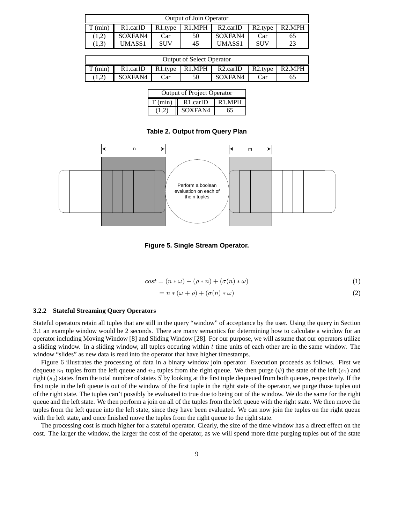| <b>Output of Join Operator</b> |          |            |        |                    |                      |                    |
|--------------------------------|----------|------------|--------|--------------------|----------------------|--------------------|
| $\gamma$ (min)                 | R1.carID | R1.type    | R1.MPH | $R2. \text{carID}$ | R <sub>2</sub> .tvpe | R <sub>2</sub> MPH |
| (1,2)                          | SOXFAN4  | Car        | 50     | SOXFAN4            | Car                  | 65                 |
| (1,3)                          | UMASS1   | <b>SUV</b> | 45     | UMASS1             | <b>SUV</b>           | 23                 |

| <b>Output of Select Operator</b> |          |     |  |                                              |         |                     |
|----------------------------------|----------|-----|--|----------------------------------------------|---------|---------------------|
| T (min)                          | R1.carID |     |  | $\mid$ R1.type $\mid$ R1.MPH $\mid$ R2.carID | R2.type | R <sub>2</sub> .MPH |
|                                  | SOXFAN4  | ∠ar |  | SOXFAN4                                      | . `ar   |                     |

| <b>Output of Project Operator</b> |                                 |                    |  |  |
|-----------------------------------|---------------------------------|--------------------|--|--|
|                                   | $T (min)$ $\overline{R1.carID}$ | R <sub>1</sub> MPH |  |  |
| (1.2)                             | <b>SOXFAN4</b>                  | 65                 |  |  |

#### **Table 2. Output from Query Plan**



**Figure 5. Single Stream Operator.**

$$
cost = (n * \omega) + (\rho * n) + (\sigma(n) * \omega)
$$
\n(1)

$$
= n * (\omega + \rho) + (\sigma(n) * \omega)
$$
\n(2)

#### **3.2.2 Stateful Streaming Query Operators**

Stateful operators retain all tuples that are still in the query "window" of acceptance by the user. Using the query in Section 3.1 an example window would be 2 seconds. There are many semantics for determining how to calculate a window for an operator including Moving Window [8] and Sliding Window [28]. For our purpose, we will assume that our operators utilize a sliding window. In a sliding window, all tuples occuring within  $t$  time units of each other are in the same window. The window "slides" as new data is read into the operator that have higher timestamps.

Figure 6 illustrates the processing of data in a binary window join operator. Execution proceeds as follows. First we dequeue  $n_1$  tuples from the left queue and  $n_2$  tuples from the right queue. We then purge  $(\psi)$  the state of the left  $(s_1)$  and right  $(s_2)$  states from the total number of states S by looking at the first tuple dequeued from both queues, respectively. If the first tuple in the left queue is out of the window of the first tuple in the right state of the operator, we purge those tuples out of the right state. The tuples can't possibly be evaluated to true due to being out of the window. We do the same for the right queue and the left state. We then perform a join on all of the tuples from the left queue with the right state. We then move the tuples from the left queue into the left state, since they have been evaluated. We can now join the tuples on the right queue with the left state, and once finished move the tuples from the right queue to the right state.

The processing cost is much higher for a stateful operator. Clearly, the size of the time window has a direct effect on the cost. The larger the window, the larger the cost of the operator, as we will spend more time purging tuples out of the state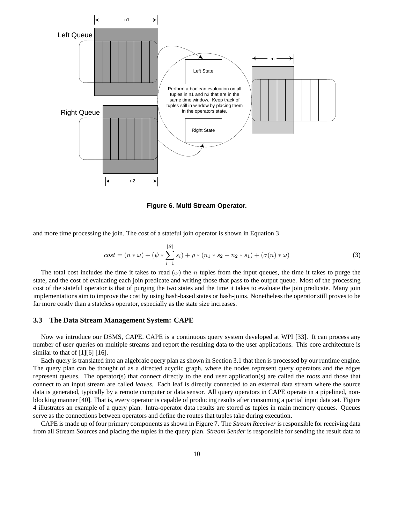

**Figure 6. Multi Stream Operator.**

and more time processing the join. The cost of a stateful join operator is shown in Equation 3

$$
cost = (n * \omega) + (\psi * \sum_{i=1}^{|S|} s_i) + \rho * (n_1 * s_2 + n_2 * s_1) + (\sigma(n) * \omega)
$$
\n(3)

The total cost includes the time it takes to read  $(\omega)$  the n tuples from the input queues, the time it takes to purge the state, and the cost of evaluating each join predicate and writing those that pass to the output queue. Most of the processing cost of the stateful operator is that of purging the two states and the time it takes to evaluate the join predicate. Many join implementations aim to improve the cost by using hash-based states or hash-joins. Nonetheless the operator still proves to be far more costly than a stateless operator, especially as the state size increases.

## **3.3 The Data Stream Management System: CAPE**

Now we introduce our DSMS, CAPE. CAPE is a continuous query system developed at WPI [33]. It can process any number of user queries on multiple streams and report the resulting data to the user applications. This core architecture is similar to that of  $[1][6] [16]$ .

Each query is translated into an algebraic query plan as shown in Section 3.1 that then is processed by our runtime engine. The query plan can be thought of as a directed acyclic graph, where the nodes represent query operators and the edges represent queues. The operator(s) that connect directly to the end user application(s) are called the *roots* and those that connect to an input stream are called *leaves*. Each leaf is directly connected to an external data stream where the source data is generated, typically by a remote computer or data sensor. All query operators in CAPE operate in a pipelined, nonblocking manner [40]. That is, every operator is capable of producing results after consuming a partial input data set. Figure 4 illustrates an example of a query plan. Intra-operator data results are stored as tuples in main memory queues. Queues serve as the connections between operators and define the routes that tuples take during execution.

CAPE is made up of four primary components as shown in Figure 7. The *Stream Receiver* is responsible for receiving data from all Stream Sources and placing the tuples in the query plan. *Stream Sender* is responsible for sending the result data to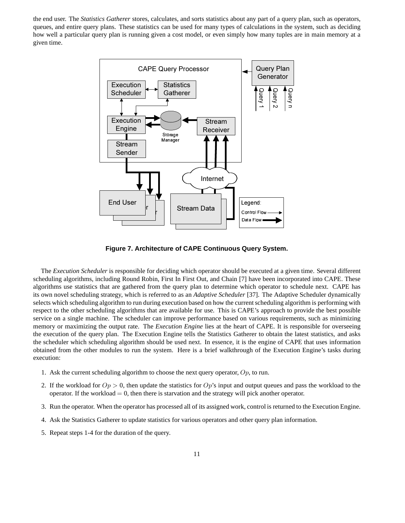the end user. The *Statistics Gatherer* stores, calculates, and sorts statistics about any part of a query plan, such as operators, queues, and entire query plans. These statistics can be used for many types of calculations in the system, such as deciding how well a particular query plan is running given a cost model, or even simply how many tuples are in main memory at a given time.



**Figure 7. Architecture of CAPE Continuous Query System.**

The *Execution Scheduler* is responsible for deciding which operator should be executed at a given time. Several different scheduling algorithms, including Round Robin, First In First Out, and Chain [7] have been incorporated into CAPE. These algorithms use statistics that are gathered from the query plan to determine which operator to schedule next. CAPE has its own novel scheduling strategy, which is referred to as an *Adaptive Scheduler* [37]. The Adaptive Scheduler dynamically selects which scheduling algorithm to run during execution based on how the current scheduling algorithm is performing with respect to the other scheduling algorithms that are available for use. This is CAPE's approach to provide the best possible service on a single machine. The scheduler can improve performance based on various requirements, such as minimizing memory or maximizing the output rate. The *Execution Engine* lies at the heart of CAPE. It is responsible for overseeing the execution of the query plan. The Execution Engine tells the Statistics Gatherer to obtain the latest statistics, and asks the scheduler which scheduling algorithm should be used next. In essence, it is the engine of CAPE that uses information obtained from the other modules to run the system. Here is a brief walkthrough of the Execution Engine's tasks during execution:

- 1. Ask the current scheduling algorithm to choose the next query operator,  $Op$ , to run.
- 2. If the workload for  $Op > 0$ , then update the statistics for  $Op$ 's input and output queues and pass the workload to the operator. If the workload  $= 0$ , then there is starvation and the strategy will pick another operator.
- 3. Run the operator. When the operator has processed all of its assigned work, control is returned to the Execution Engine.
- 4. Ask the Statistics Gatherer to update statistics for various operators and other query plan information.
- 5. Repeat steps 1-4 for the duration of the query.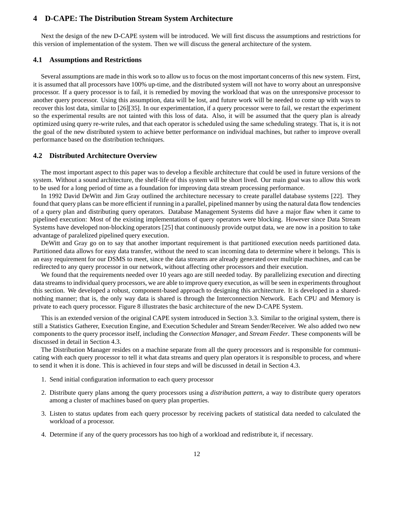## **4 D-CAPE: The Distribution Stream System Architecture**

Next the design of the new D-CAPE system will be introduced. We will first discuss the assumptions and restrictions for this version of implementation of the system. Then we will discuss the general architecture of the system.

#### **4.1 Assumptions and Restrictions**

Several assumptions are made in this work so to allow us to focus on the most important concerns of this new system. First, it is assumed that all processors have 100% up-time, and the distributed system will not have to worry about an unresponsive processor. If a query processor is to fail, it is remedied by moving the workload that was on the unresponsive processor to another query processor. Using this assumption, data will be lost, and future work will be needed to come up with ways to recover this lost data, similar to [26][35]. In our experimentation, if a query processor were to fail, we restart the experiment so the experimental results are not tainted with this loss of data. Also, it will be assumed that the query plan is already optimized using query re-write rules, and that each operator is scheduled using the same scheduling strategy. That is, it is not the goal of the new distributed system to achieve better performance on individual machines, but rather to improve overall performance based on the distribution techniques.

## **4.2 Distributed Architecture Overview**

The most important aspect to this paper was to develop a flexible architecture that could be used in future versions of the system. Without a sound architecture, the shelf-life of this system will be short lived. Our main goal was to allow this work to be used for a long period of time as a foundation for improving data stream processing performance.

In 1992 David DeWitt and Jim Gray outlined the architecture necessary to create parallel database systems [22]. They found that query plans can be more efficient if running in a parallel, pipelined manner by using the natural data flow tendencies of a query plan and distributing query operators. Database Management Systems did have a major flaw when it came to pipelined execution: Most of the existing implementations of query operators were blocking. However since Data Stream Systems have developed non-blocking operators [25] that continuously provide output data, we are now in a position to take advantage of paralelized pipelined query execution.

DeWitt and Gray go on to say that another important requirement is that partitioned execution needs partitioned data. Partitioned data allows for easy data transfer, without the need to scan incoming data to determine where it belongs. This is an easy requirement for our DSMS to meet, since the data streams are already generated over multiple machines, and can be redirected to any query processor in our network, without affecting other processors and their execution.

We found that the requirements needed over 10 years ago are still needed today. By parallelizing execution and directing data streams to individual query processors, we are able to improve query execution, as will be seen in experiments throughout this section. We developed a robust, component-based approach to designing this architecture. It is developed in a sharednothing manner; that is, the only way data is shared is through the Interconnection Network. Each CPU and Memory is private to each query processor. Figure 8 illustrates the basic architecture of the new D-CAPE System.

This is an extended version of the original CAPE system introduced in Section 3.3. Similar to the original system, there is still a Statistics Gatherer, Execution Engine, and Execution Scheduler and Stream Sender/Receiver. We also added two new components to the query processor itself, including the *Connection Manager*, and *Stream Feeder*. These components will be discussed in detail in Section 4.3.

The Distribution Manager resides on a machine separate from all the query processors and is responsible for communicating with each query processor to tell it what data streams and query plan operators it is responsible to process, and where to send it when it is done. This is achieved in four steps and will be discussed in detail in Section 4.3.

- 1. Send initial configuration information to each query processor
- 2. Distribute query plans among the query processors using a *distribution pattern*, a way to distribute query operators among a cluster of machines based on query plan properties.
- 3. Listen to status updates from each query processor by receiving packets of statistical data needed to calculated the workload of a processor.
- 4. Determine if any of the query processors has too high of a workload and redistribute it, if necessary.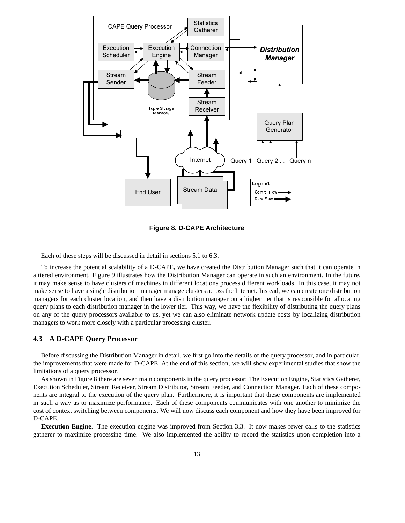

**Figure 8. D-CAPE Architecture**

Each of these steps will be discussed in detail in sections 5.1 to 6.3.

To increase the potential scalability of a D-CAPE, we have created the Distribution Manager such that it can operate in a tiered environment. Figure 9 illustrates how the Distribution Manager can operate in such an environment. In the future, it may make sense to have clusters of machines in different locations process different workloads. In this case, it may not make sense to have a single distribution manager manage clusters across the Internet. Instead, we can create one distribution managers for each cluster location, and then have a distribution manager on a higher tier that is responsible for allocating query plans to each distribution manager in the lower tier. This way, we have the flexibility of distributing the query plans on any of the query processors available to us, yet we can also eliminate network update costs by localizing distribution managers to work more closely with a particular processing cluster.

### **4.3 A D-CAPE Query Processor**

Before discussing the Distribution Manager in detail, we first go into the details of the query processor, and in particular, the improvements that were made for D-CAPE. At the end of this section, we will show experimental studies that show the limitations of a query processor.

As shown in Figure 8 there are seven main components in the query processor: The Execution Engine, Statistics Gatherer, Execution Scheduler, Stream Receiver, Stream Distributor, Stream Feeder, and Connection Manager. Each of these components are integral to the execution of the query plan. Furthermore, it is important that these components are implemented in such a way as to maximize performance. Each of these components communicates with one another to minimize the cost of context switching between components. We will now discuss each component and how they have been improved for D-CAPE.

**Execution Engine**. The execution engine was improved from Section 3.3. It now makes fewer calls to the statistics gatherer to maximize processing time. We also implemented the ability to record the statistics upon completion into a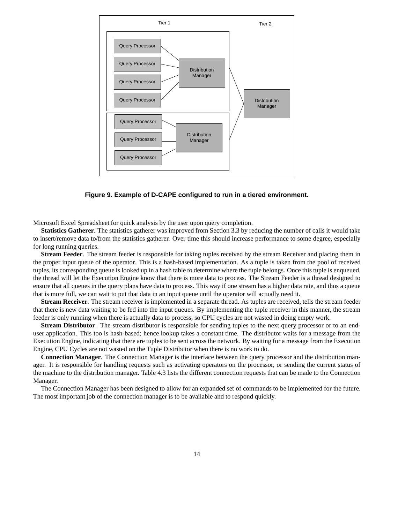

**Figure 9. Example of D-CAPE configured to run in a tiered environment.**

Microsoft Excel Spreadsheet for quick analysis by the user upon query completion.

**Statistics Gatherer**. The statistics gatherer was improved from Section 3.3 by reducing the number of calls it would take to insert/remove data to/from the statistics gatherer. Over time this should increase performance to some degree, especially for long running queries.

**Stream Feeder**. The stream feeder is responsible for taking tuples received by the stream Receiver and placing them in the proper input queue of the operator. This is a hash-based implementation. As a tuple is taken from the pool of received tuples, its corresponding queue is looked up in a hash table to determine where the tuple belongs. Once this tuple is enqueued, the thread will let the Execution Engine know that there is more data to process. The Stream Feeder is a thread designed to ensure that all queues in the query plans have data to process. This way if one stream has a higher data rate, and thus a queue that is more full, we can wait to put that data in an input queue until the operator will actually need it.

**Stream Receiver**. The stream receiver is implemented in a separate thread. As tuples are received, tells the stream feeder that there is new data waiting to be fed into the input queues. By implementing the tuple receiver in this manner, the stream feeder is only running when there is actually data to process, so CPU cycles are not wasted in doing empty work.

**Stream Distributor**. The stream distributor is responsible for sending tuples to the next query processor or to an enduser application. This too is hash-based; hence lookup takes a constant time. The distributor waits for a message from the Execution Engine, indicating that there are tuples to be sent across the network. By waiting for a message from the Execution Engine, CPU Cycles are not wasted on the Tuple Distributor when there is no work to do.

**Connection Manager**. The Connection Manager is the interface between the query processor and the distribution manager. It is responsible for handling requests such as activating operators on the processor, or sending the current status of the machine to the distribution manager. Table 4.3 lists the different connection requests that can be made to the Connection Manager.

The Connection Manager has been designed to allow for an expanded set of commands to be implemented for the future. The most important job of the connection manager is to be available and to respond quickly.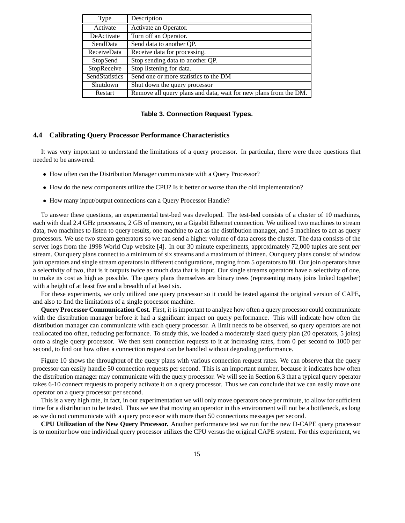| Type           | Description                                                      |
|----------------|------------------------------------------------------------------|
| Activate       | Activate an Operator.                                            |
| DeActivate     | Turn off an Operator.                                            |
| SendData       | Send data to another QP.                                         |
| ReceiveData    | Receive data for processing.                                     |
| StopSend       | Stop sending data to another QP.                                 |
| StopReceive    | Stop listening for data.                                         |
| SendStatistics | Send one or more statistics to the DM                            |
| Shutdown       | Shut down the query processor                                    |
| Restart        | Remove all query plans and data, wait for new plans from the DM. |

#### **Table 3. Connection Request Types.**

## **4.4 Calibrating Query Processor Performance Characteristics**

It was very important to understand the limitations of a query processor. In particular, there were three questions that needed to be answered:

- How often can the Distribution Manager communicate with a Query Processor?
- How do the new components utilize the CPU? Is it better or worse than the old implementation?
- How many input/output connections can a Query Processor Handle?

To answer these questions, an experimental test-bed was developed. The test-bed consists of a cluster of 10 machines, each with dual 2.4 GHz processors, 2 GB of memory, on a Gigabit Ethernet connection. We utilized two machines to stream data, two machines to listen to query results, one machine to act as the distribution manager, and 5 machines to act as query processors. We use two stream generators so we can send a higher volume of data across the cluster. The data consists of the server logs from the 1998 World Cup website [4]. In our 30 minute experiments, approximately 72,000 tuples are sent *per* stream. Our query plans connect to a minimum of six streams and a maximum of thirteen. Our query plans consist of window join operators and single stream operators in different configurations, ranging from 5 operators to 80. Our join operators have a selectivity of two, that is it outputs twice as much data that is input. Our single streams operators have a selectivity of one, to make its cost as high as possible. The query plans themselves are binary trees (representing many joins linked together) with a height of at least five and a breadth of at least six.

For these experiments, we only utilized one query processor so it could be tested against the original version of CAPE, and also to find the limitations of a single processor machine.

**Query Processor Communication Cost.** First, it is important to analyze how often a query processor could communicate with the distribution manager before it had a significant impact on query performance. This will indicate how often the distribution manager can communicate with each query processor. A limit needs to be observed, so query operators are not reallocated too often, reducing performance. To study this, we loaded a moderately sized query plan (20 operators, 5 joins) onto a single query processor. We then sent connection requests to it at increasing rates, from 0 per second to 1000 per second, to find out how often a connection request can be handled without degrading performance.

Figure 10 shows the throughput of the query plans with various connection request rates. We can observe that the query processor can easily handle 50 connection requests per second. This is an important number, because it indicates how often the distribution manager may communicate with the query processor. We will see in Section 6.3 that a typical query operator takes 6-10 connect requests to properly activate it on a query processor. Thus we can conclude that we can easily move one operator on a query processor per second.

This is a very high rate, in fact, in our experimentation we will only move operators once per minute, to allow for sufficient time for a distribution to be tested. Thus we see that moving an operator in this environment will not be a bottleneck, as long as we do not communicate with a query processor with more than 50 connections messages per second.

**CPU Utilization of the New Query Processor.** Another performance test we run for the new D-CAPE query processor is to monitor how one individual query processor utilizes the CPU versus the original CAPE system. For this experiment, we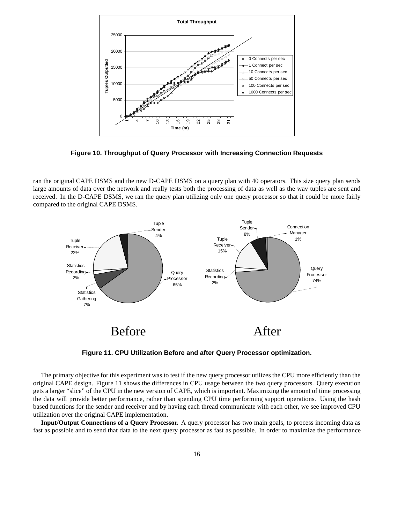

**Figure 10. Throughput of Query Processor with Increasing Connection Requests**

ran the original CAPE DSMS and the new D-CAPE DSMS on a query plan with 40 operators. This size query plan sends large amounts of data over the network and really tests both the processing of data as well as the way tuples are sent and received. In the D-CAPE DSMS, we ran the query plan utilizing only one query processor so that it could be more fairly compared to the original CAPE DSMS.



**Figure 11. CPU Utilization Before and after Query Processor optimization.**

The primary objective for this experiment was to test if the new query processor utilizes the CPU more efficiently than the original CAPE design. Figure 11 shows the differences in CPU usage between the two query processors. Query execution gets a larger "slice" of the CPU in the new version of CAPE, which is important. Maximizing the amount of time processing the data will provide better performance, rather than spending CPU time performing support operations. Using the hash based functions for the sender and receiver and by having each thread communicate with each other, we see improved CPU utilization over the original CAPE implementation.

**Input/Output Connections of a Query Processor.** A query processor has two main goals, to process incoming data as fast as possible and to send that data to the next query processor as fast as possible. In order to maximize the performance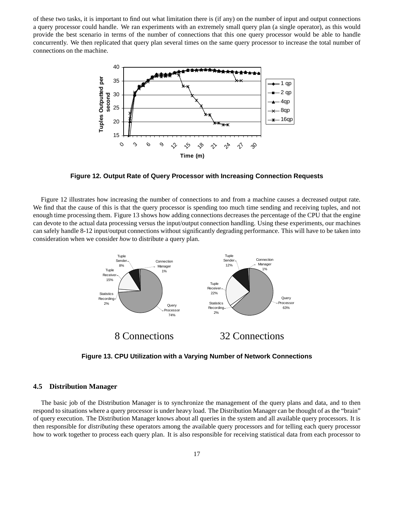of these two tasks, it is important to find out what limitation there is (if any) on the number of input and output connections a query processor could handle. We ran experiments with an extremely small query plan (a single operator), as this would provide the best scenario in terms of the number of connections that this one query processor would be able to handle concurrently. We then replicated that query plan several times on the same query processor to increase the total number of connections on the machine.



**Figure 12. Output Rate of Query Processor with Increasing Connection Requests**

Figure 12 illustrates how increasing the number of connections to and from a machine causes a decreased output rate. We find that the cause of this is that the query processor is spending too much time sending and receiving tuples, and not enough time processing them. Figure 13 shows how adding connections decreases the percentage of the CPU that the engine can devote to the actual data processing versus the input/output connection handling. Using these experiments, our machines can safely handle 8-12 input/output connections without significantly degrading performance. This will have to be taken into consideration when we consider *how* to distribute a query plan.



**Figure 13. CPU Utilization with a Varying Number of Network Connections**

#### **4.5 Distribution Manager**

The basic job of the Distribution Manager is to synchronize the management of the query plans and data, and to then respond to situations where a query processor is under heavy load. The Distribution Manager can be thought of as the "brain" of query execution. The Distribution Manager knows about all queries in the system and all available query processors. It is then responsible for *distributing* these operators among the available query processors and for telling each query processor how to work together to process each query plan. It is also responsible for receiving statistical data from each processor to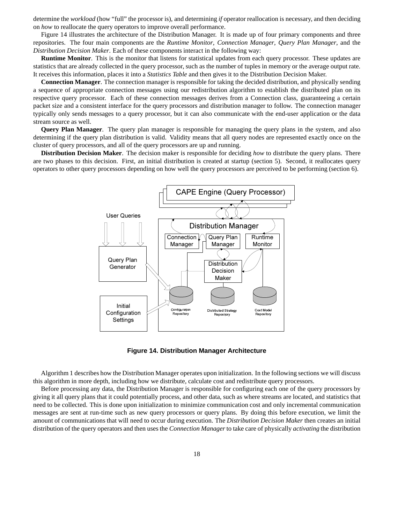determine the *workload* (how "full" the processor is), and determining *if* operator reallocation is necessary, and then deciding on *how* to reallocate the query operators to improve overall performance.

Figure 14 illustrates the architecture of the Distribution Manager. It is made up of four primary components and three repositories. The four main components are the *Runtime Monitor*, *Connection Manager*, *Query Plan Manager*, and the *Distribution Decision Maker*. Each of these components interact in the following way:

**Runtime Monitor**. This is the monitor that listens for statistical updates from each query processor. These updates are statistics that are already collected in the query processor, such as the number of tuples in memory or the average output rate. It receives this information, places it into a *Statistics Table* and then gives it to the Distribution Decision Maker.

**Connection Manager**. The connection manager is responsible for taking the decided distribution, and physically sending a sequence of appropriate connection messages using our redistribution algorithm to establish the distributed plan on its respective query processor. Each of these connection messages derives from a Connection class, guaranteeing a certain packet size and a consistent interface for the query processors and distribution manager to follow. The connection manager typically only sends messages to a query processor, but it can also communicate with the end-user application or the data stream source as well.

**Query Plan Manager**. The query plan manager is responsible for managing the query plans in the system, and also determining if the query plan distribution is valid. Validity means that all query nodes are represented exactly once on the cluster of query processors, and all of the query processors are up and running.

**Distribution Decision Maker**. The decision maker is responsible for deciding *how* to distribute the query plans. There are two phases to this decision. First, an initial distribution is created at startup (section 5). Second, it reallocates query operators to other query processors depending on how well the query processors are perceived to be performing (section 6).



**Figure 14. Distribution Manager Architecture**

Algorithm 1 describes how the Distribution Manager operates upon initialization. In the following sections we will discuss this algorithm in more depth, including how we distribute, calculate cost and redistribute query processors.

Before processing any data, the Distribution Manager is responsible for configuring each one of the query processors by giving it all query plans that it could potentially process, and other data, such as where streams are located, and statistics that need to be collected. This is done upon initialization to minimize communication cost and only incremental communication messages are sent at run-time such as new query processors or query plans. By doing this before execution, we limit the amount of communications that will need to occur during execution. The *Distribution Decision Maker* then creates an initial distribution of the query operators and then uses the *Connection Manager*to take care of physically *activating* the distribution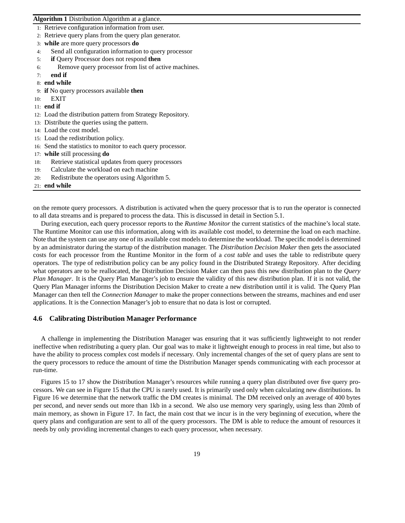#### **Algorithm 1** Distribution Algorithm at a glance.

1: Retrieve configuration information from user.

- 2: Retrieve query plans from the query plan generator.
- 3: **while** are more query processors **do**
- 4: Send all configuration information to query processor
- 5: **if** Query Processor does not respond **then**
- 6: Remove query processor from list of active machines.

## 7: **end if**

- 8: **end while**
- 9: **if** No query processors available **then**
- 10: EXIT
- 11: **end if**
- 12: Load the distribution pattern from Strategy Repository.
- 13: Distribute the queries using the pattern.
- 14: Load the cost model.
- 15: Load the redistribution policy.
- 16: Send the statistics to monitor to each query processor.
- 17: **while** still processing **do**
- 18: Retrieve statistical updates from query processors
- 19: Calculate the workload on each machine
- 20: Redistribute the operators using Algorithm 5.

#### 21: **end while**

on the remote query processors. A distribution is activated when the query processor that is to run the operator is connected to all data streams and is prepared to process the data. This is discussed in detail in Section 5.1.

During execution, each query processor reports to the *Runtime Monitor* the current statistics of the machine's local state. The Runtime Monitor can use this information, along with its available cost model, to determine the load on each machine. Note that the system can use any one of its available cost models to determine the workload. The specific model is determined by an administrator during the startup of the distribution manager. The *Distribution Decision Maker* then gets the associated costs for each processor from the Runtime Monitor in the form of a *cost table* and uses the table to redistribute query operators. The type of redistribution policy can be any policy found in the Distributed Strategy Repository. After deciding what operators are to be reallocated, the Distribution Decision Maker can then pass this new distribution plan to the *Query Plan Manager*. It is the Query Plan Manager's job to ensure the validity of this new distribution plan. If it is not valid, the Query Plan Manager informs the Distribution Decision Maker to create a new distribution until it is valid. The Query Plan Manager can then tell the *Connection Manager* to make the proper connections between the streams, machines and end user applications. It is the Connection Manager's job to ensure that no data is lost or corrupted.

### **4.6 Calibrating Distribution Manager Performance**

A challenge in implementing the Distribution Manager was ensuring that it was sufficiently lightweight to not render ineffective when redistributing a query plan. Our goal was to make it lightweight enough to process in real time, but also to have the ability to process complex cost models if necessary. Only incremental changes of the set of query plans are sent to the query processors to reduce the amount of time the Distribution Manager spends communicating with each processor at run-time.

Figures 15 to 17 show the Distribution Manager's resources while running a query plan distributed over five query processors. We can see in Figure 15 that the CPU is rarely used. It is primarily used only when calculating new distributions. In Figure 16 we determine that the network traffic the DM creates is minimal. The DM received only an average of 400 bytes per second, and never sends out more than 1kb in a second. We also use memory very sparingly, using less than 20mb of main memory, as shown in Figure 17. In fact, the main cost that we incur is in the very beginning of execution, where the query plans and configuration are sent to all of the query processors. The DM is able to reduce the amount of resources it needs by only providing incremental changes to each query processor, when necessary.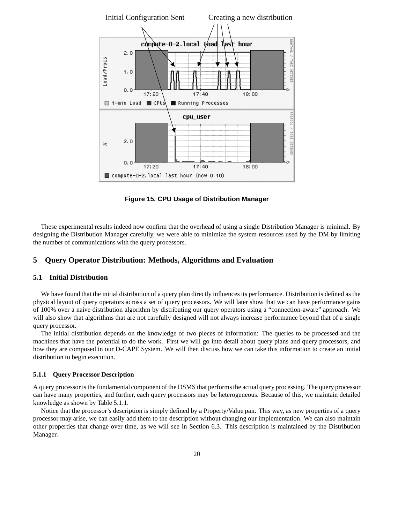

**Figure 15. CPU Usage of Distribution Manager**

These experimental results indeed now confirm that the overhead of using a single Distribution Manager is minimal. By designing the Distribution Manager carefully, we were able to minimize the system resources used by the DM by limiting the number of communications with the query processors.

## **5 Query Operator Distribution: Methods, Algorithms and Evaluation**

### **5.1 Initial Distribution**

We have found that the initial distribution of a query plan directly influences its performance. Distribution is defined as the physical layout of query operators across a set of query processors. We will later show that we can have performance gains of 100% over a naive distribution algorithm by distributing our query operators using a "connection-aware" approach. We will also show that algorithms that are not carefully designed will not always increase performance beyond that of a single query processor.

The initial distribution depends on the knowledge of two pieces of information: The queries to be processed and the machines that have the potential to do the work. First we will go into detail about query plans and query processors, and how they are composed in our D-CAPE System. We will then discuss how we can take this information to create an initial distribution to begin execution.

#### **5.1.1 Query Processor Description**

A query processor is the fundamental component of the DSMS that performs the actual query processing. The query processor can have many properties, and further, each query processors may be heterogeneous. Because of this, we maintain detailed knowledge as shown by Table 5.1.1.

Notice that the processor's description is simply defined by a Property/Value pair. This way, as new properties of a query processor may arise, we can easily add them to the description without changing our implementation. We can also maintain other properties that change over time, as we will see in Section 6.3. This description is maintained by the Distribution Manager.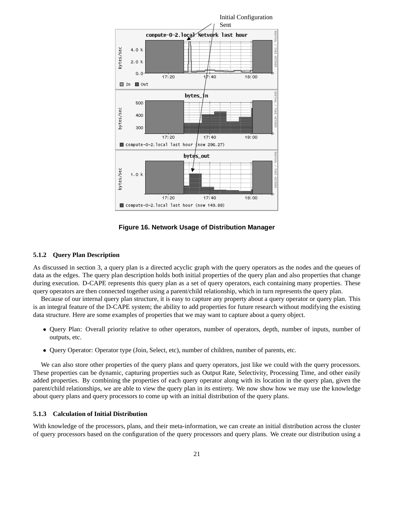

**Figure 16. Network Usage of Distribution Manager**

#### **5.1.2 Query Plan Description**

As discussed in section 3, a query plan is a directed acyclic graph with the query operators as the nodes and the queues of data as the edges. The query plan description holds both initial properties of the query plan and also properties that change during execution. D-CAPE represents this query plan as a set of query operators, each containing many properties. These query operators are then connected together using a parent/child relationship, which in turn represents the query plan.

Because of our internal query plan structure, it is easy to capture any property about a query operator or query plan. This is an integral feature of the D-CAPE system; the ability to add properties for future research without modifying the existing data structure. Here are some examples of properties that we may want to capture about a query object.

- Query Plan: Overall priority relative to other operators, number of operators, depth, number of inputs, number of outputs, etc.
- Query Operator: Operator type (Join, Select, etc), number of children, number of parents, etc.

We can also store other properties of the query plans and query operators, just like we could with the query processors. These properties can be dynamic, capturing properties such as Output Rate, Selectivity, Processing Time, and other easily added properties. By combining the properties of each query operator along with its location in the query plan, given the parent/child relationships, we are able to view the query plan in its entirety. We now show how we may use the knowledge about query plans and query processors to come up with an initial distribution of the query plans.

### **5.1.3 Calculation of Initial Distribution**

With knowledge of the processors, plans, and their meta-information, we can create an initial distribution across the cluster of query processors based on the configuration of the query processors and query plans. We create our distribution using a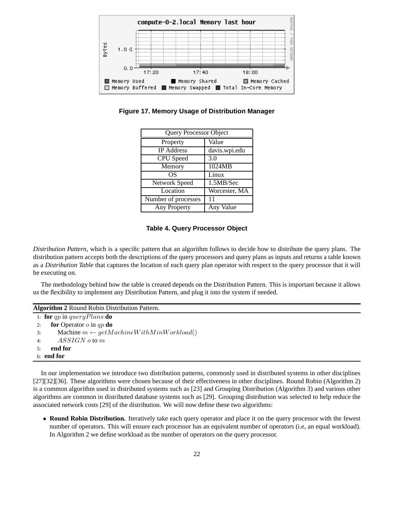

**Figure 17. Memory Usage of Distribution Manager**

| <b>Query Processor Object</b> |               |  |
|-------------------------------|---------------|--|
| Property                      | Value         |  |
| <b>IP</b> Address             | davis.wpi.edu |  |
| CPU Speed                     | 3.0           |  |
| Memory                        | 1024MB        |  |
| OS                            | Linux         |  |
| Network Speed                 | 1.5MB/Sec     |  |
| Location                      | Worcester, MA |  |
| Number of processes           |               |  |
| Any Property                  | Any Value     |  |

## **Table 4. Query Processor Object**

*Distribution Pattern*, which is a specific pattern that an algorithm follows to decide how to distribute the query plans. The distribution pattern accepts both the descriptions of the query processors and query plans as inputs and returns a table known as a *Distribution Table* that captures the location of each query plan operator with respect to the query processor that it will be executing on.

The methodology behind how the table is created depends on the Distribution Pattern. This is important because it allows us the flexibility to implement any Distribution Pattern, and plug it into the system if needed.

| Algorithm 2 Round Robin Distribution Pattern.            |  |  |
|----------------------------------------------------------|--|--|
| 1: for qp in query Plans do                              |  |  |
| <b>for</b> Operator $o$ in $qp$ <b>do</b><br>2:          |  |  |
| Machine $m \leftarrow getMachineWithMinWorkload()$<br>3: |  |  |
| $ASSIGN\ o\ to\ m$<br>4:                                 |  |  |
| end for                                                  |  |  |
| $6:$ end for                                             |  |  |
|                                                          |  |  |

In our implementation we introduce two distribution patterns, commonly used in distributed systems in other disciplines [27][32][36]. These algorithms were chosen because of their effectiveness in other disciplines. Round Robin (Algorithm 2) is a common algorithm used in distributed systems such as [23] and Grouping Distribution (Algorithm 3) and various other algorithms are common in distributed database systems such as [29]. Grouping distribution was selected to help reduce the associated network costs [29] of the distribution. We will now define these two algorithms:

• **Round Robin Distribution.** Iteratively take each query operator and place it on the query processor with the fewest number of operators. This will ensure each processor has an equivalent number of operators (i.e, an equal workload). In Algorithm 2 we define workload as the number of operators on the query processor.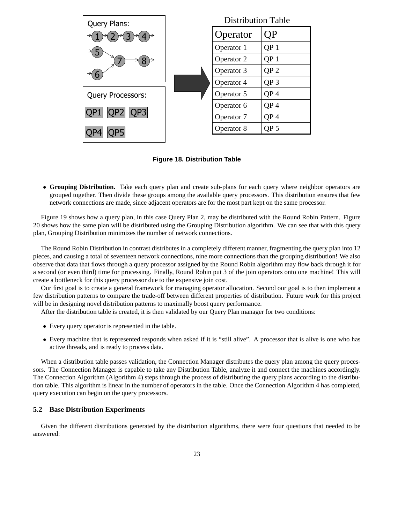

**Figure 18. Distribution Table**

• **Grouping Distribution.** Take each query plan and create sub-plans for each query where neighbor operators are grouped together. Then divide these groups among the available query processors. This distribution ensures that few network connections are made, since adjacent operators are for the most part kept on the same processor.

Figure 19 shows how a query plan, in this case Query Plan 2, may be distributed with the Round Robin Pattern. Figure 20 shows how the same plan will be distributed using the Grouping Distribution algorithm. We can see that with this query plan, Grouping Distribution minimizes the number of network connections.

The Round Robin Distribution in contrast distributes in a completely different manner, fragmenting the query plan into 12 pieces, and causing a total of seventeen network connections, nine more connections than the grouping distribution! We also observe that data that flows through a query processor assigned by the Round Robin algorithm may flow back through it for a second (or even third) time for processing. Finally, Round Robin put 3 of the join operators onto one machine! This will create a bottleneck for this query processor due to the expensive join cost.

Our first goal is to create a general framework for managing operator allocation. Second our goal is to then implement a few distribution patterns to compare the trade-off between different properties of distribution. Future work for this project will be in designing novel distribution patterns to maximally boost query performance.

After the distribution table is created, it is then validated by our Query Plan manager for two conditions:

- Every query operator is represented in the table.
- Every machine that is represented responds when asked if it is "still alive". A processor that is alive is one who has active threads, and is ready to process data.

When a distribution table passes validation, the Connection Manager distributes the query plan among the query processors. The Connection Manager is capable to take any Distribution Table, analyze it and connect the machines accordingly. The Connection Algorithm (Algorithm 4) steps through the process of distributing the query plans according to the distribution table. This algorithm is linear in the number of operators in the table. Once the Connection Algorithm 4 has completed, query execution can begin on the query processors.

## **5.2 Base Distribution Experiments**

Given the different distributions generated by the distribution algorithms, there were four questions that needed to be answered: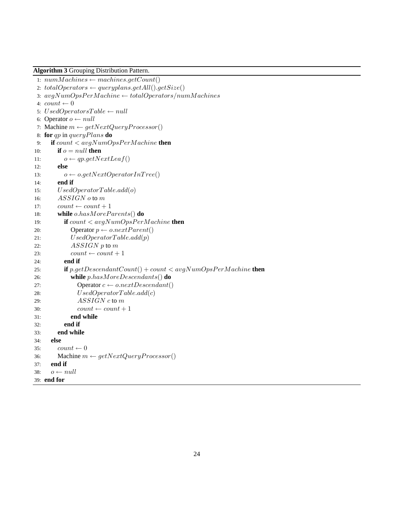**Algorithm 3** Grouping Distribution Pattern.

```
1: numMachines \leftarrow machines.getCount()2: total Operators \leftarrow queryplans.getAll().getSize()3: avgNumOpsPerMachine \leftarrow totalOperators(numMachines4: count \leftarrow 05: \boldsymbol{U}\boldsymbol{sed} \boldsymbol{O} \boldsymbol{per} \boldsymbol{ator} \boldsymbol{s} \boldsymbol{T} \boldsymbol{a} \boldsymbol{b} \boldsymbol{l} \boldsymbol{e} \leftarrow null6: Operator o \leftarrow null7: Machine m \leftarrow getNextQueryProcessor()8: for qp in queryPlans do
 9: if count < avgNumOpsPerMachine then
10: if o = null then
11: o \leftarrow qp.getNextLeaf()12: else
13: o \leftarrow o.getNextOperatorInTree()14: end if
15: UsedOperatorTable.add(o)
16: ASSIGN o to m
17: count \leftarrow count + 118: while o.hasMoreParents() do
19: if count < avgNumOpsPerMachine then
20: Operator p \leftarrow o.nextParent()21: UsedOperatorTable.add(p)
22: ASSIGN p to m
23: count \leftarrow count + 124: end if
25: if p.getDescendantCount() + count < avgNumOpsPerMachine then
26: while p.hasMoreDescendants() do
27: Operator c \leftarrow o.nextDescendant()28: UsedOperatorTable.add(c)
29: ASSIGN c to m
30: count \leftarrow count + 131: end while
32: end if
33: end while
34: else
35: count \leftarrow 036: Machine m \leftarrow getNextQueryProcessor()37: end if
38: o \leftarrow null39: end for
```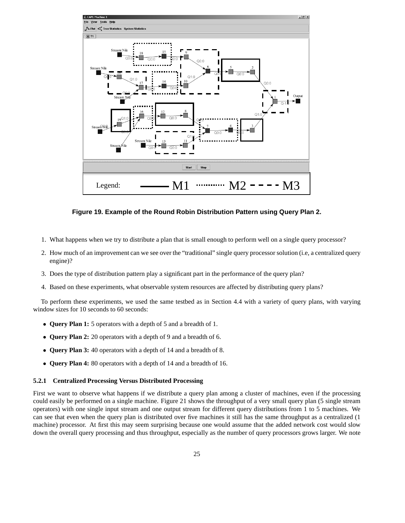

**Figure 19. Example of the Round Robin Distribution Pattern using Query Plan 2.**

- 1. What happens when we try to distribute a plan that is small enough to perform well on a single query processor?
- 2. How much of an improvement can we see over the "traditional" single query processor solution (i.e, a centralized query engine)?
- 3. Does the type of distribution pattern play a significant part in the performance of the query plan?
- 4. Based on these experiments, what observable system resources are affected by distributing query plans?

To perform these experiments, we used the same testbed as in Section 4.4 with a variety of query plans, with varying window sizes for 10 seconds to 60 seconds:

- **Query Plan 1:** 5 operators with a depth of 5 and a breadth of 1.
- **Query Plan 2:** 20 operators with a depth of 9 and a breadth of 6.
- **Query Plan 3:** 40 operators with a depth of 14 and a breadth of 8.
- **Query Plan 4:** 80 operators with a depth of 14 and a breadth of 16.

## **5.2.1 Centralized Processing Versus Distributed Processing**

First we want to observe what happens if we distribute a query plan among a cluster of machines, even if the processing could easily be performed on a single machine. Figure 21 shows the throughput of a very small query plan (5 single stream operators) with one single input stream and one output stream for different query distributions from 1 to 5 machines. We can see that even when the query plan is distributed over five machines it still has the same throughput as a centralized (1 machine) processor. At first this may seem surprising because one would assume that the added network cost would slow down the overall query processing and thus throughput, especially as the number of query processors grows larger. We note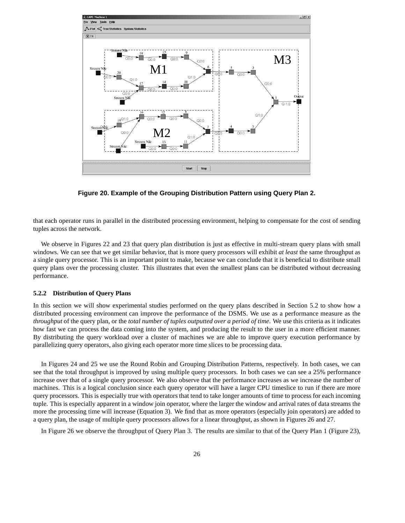

**Figure 20. Example of the Grouping Distribution Pattern using Query Plan 2.**

that each operator runs in parallel in the distributed processing environment, helping to compensate for the cost of sending tuples across the network.

We observe in Figures 22 and 23 that query plan distribution is just as effective in multi-stream query plans with small windows. We can see that we get similar behavior, that is more query processors will exhibit *at least* the same throughput as a single query processor. This is an important point to make, because we can conclude that it is beneficial to distribute small query plans over the processing cluster. This illustrates that even the smallest plans can be distributed without decreasing performance.

#### **5.2.2 Distribution of Query Plans**

In this section we will show experimental studies performed on the query plans described in Section 5.2 to show how a distributed processing environment can improve the performance of the DSMS. We use as a performance measure as the *throughput* of the query plan, or the *total number of tuples outputted over a period of time*. We use this criteria as it indicates how fast we can process the data coming into the system, and producing the result to the user in a more efficient manner. By distributing the query workload over a cluster of machines we are able to improve query execution performance by parallelizing query operators, also giving each operator more time slices to be processing data.

In Figures 24 and 25 we use the Round Robin and Grouping Distribution Patterns, respectively. In both cases, we can see that the total throughput is improved by using multiple query processors. In both cases we can see a 25% performance increase over that of a single query processor. We also observe that the performance increases as we increase the number of machines. This is a logical conclusion since each query operator will have a larger CPU timeslice to run if there are more query processors. This is especially true with operators that tend to take longer amounts of time to process for each incoming tuple. This is especially apparent in a window join operator, where the larger the window and arrival rates of data streams the more the processing time will increase (Equation 3). We find that as more operators (especially join operators) are added to a query plan, the usage of multiple query processors allows for a linear throughput, as shown in Figures 26 and 27.

In Figure 26 we observe the throughput of Query Plan 3. The results are similar to that of the Query Plan 1 (Figure 23),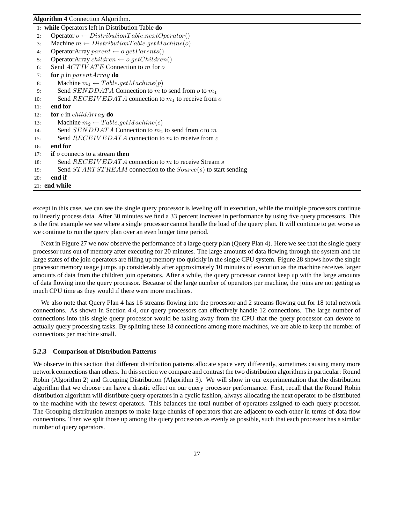### **Algorithm 4** Connection Algorithm.

|     | 1: while Operators left in Distribution Table do                  |
|-----|-------------------------------------------------------------------|
| 2:  | Operator $o \leftarrow DistributionTable.nextOperator()$          |
| 3:  | Machine $m \leftarrow DistributionTable.getMachine(o)$            |
| 4:  | OperatorArray parent $\leftarrow$ o.getParents()                  |
| 5:  | OperatorArray children $\leftarrow$ o.getChildren()               |
| 6:  | Send <i>ACTIV ATE</i> Connection to m for o                       |
| 7:  | for $p$ in $parentArray$ do                                       |
| 8:  | Machine $m_1 \leftarrow Table.getMachine(p)$                      |
| 9:  | Send SENDDATA Connection to m to send from o to $m_1$             |
| 10: | Send $RECEIVEDATA$ connection to $m_1$ to receive from o          |
| 11: | end for                                                           |
| 12: | <b>for</b> c in childArray <b>do</b>                              |
| 13: | Machine $m_2 \leftarrow Table.getMachine(c)$                      |
| 14: | Send SENDDATA Connection to $m_2$ to send from c to m             |
| 15: | Send $RECEIVEDATA$ connection to m to receive from c              |
| 16: | end for                                                           |
| 17: | <b>if</b> $\alpha$ connects to a stream <b>then</b>               |
| 18: | Send $RECEIVEDATA$ connection to m to receive Stream s            |
| 19: | Send $STARTSTREAM$ connection to the $Source(s)$ to start sending |
| 20: | end if                                                            |
|     | $21:$ end while                                                   |
|     |                                                                   |
|     |                                                                   |

except in this case, we can see the single query processor is leveling off in execution, while the multiple processors continue to linearly process data. After 30 minutes we find a 33 percent increase in performance by using five query processors. This is the first example we see where a single processor cannot handle the load of the query plan. It will continue to get worse as we continue to run the query plan over an even longer time period.

Next in Figure 27 we now observe the performance of a large query plan (Query Plan 4). Here we see that the single query processor runs out of memory after executing for 20 minutes. The large amounts of data flowing through the system and the large states of the join operators are filling up memory too quickly in the single CPU system. Figure 28 shows how the single processor memory usage jumps up considerably after approximately 10 minutes of execution as the machine receives larger amounts of data from the children join operators. After a while, the query processor cannot keep up with the large amounts of data flowing into the query processor. Because of the large number of operators per machine, the joins are not getting as much CPU time as they would if there were more machines.

We also note that Query Plan 4 has 16 streams flowing into the processor and 2 streams flowing out for 18 total network connections. As shown in Section 4.4, our query processors can effectively handle 12 connections. The large number of connections into this single query processor would be taking away from the CPU that the query processor can devote to actually query processing tasks. By splitting these 18 connections among more machines, we are able to keep the number of connections per machine small.

## **5.2.3 Comparison of Distribution Patterns**

We observe in this section that different distribution patterns allocate space very differently, sometimes causing many more network connections than others. In this section we compare and contrast the two distribution algorithms in particular: Round Robin (Algorithm 2) and Grouping Distribution (Algorithm 3). We will show in our experimentation that the distribution algorithm that we choose can have a drastic effect on our query processor performance. First, recall that the Round Robin distribution algorithm will distribute query operators in a cyclic fashion, always allocating the next operator to be distributed to the machine with the fewest operators. This balances the total number of operators assigned to each query processor. The Grouping distribution attempts to make large chunks of operators that are adjacent to each other in terms of data flow connections. Then we split those up among the query processors as evenly as possible, such that each processor has a similar number of query operators.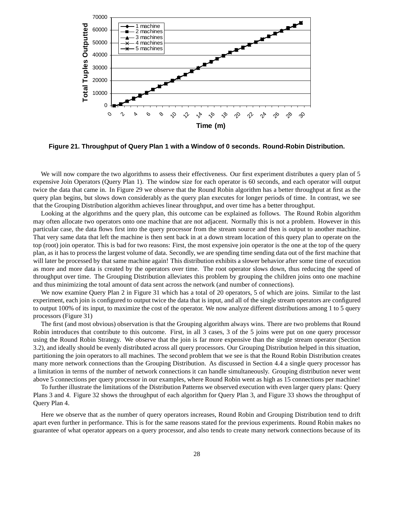

**Figure 21. Throughput of Query Plan 1 with a Window of 0 seconds. Round-Robin Distribution.**

We will now compare the two algorithms to assess their effectiveness. Our first experiment distributes a query plan of 5 expensive Join Operators (Query Plan 1). The window size for each operator is 60 seconds, and each operator will output twice the data that came in. In Figure 29 we observe that the Round Robin algorithm has a better throughput at first as the query plan begins, but slows down considerably as the query plan executes for longer periods of time. In contrast, we see that the Grouping Distribution algorithm achieves linear throughput, and over time has a better throughput.

Looking at the algorithms and the query plan, this outcome can be explained as follows. The Round Robin algorithm may often allocate two operators onto one machine that are not adjacent. Normally this is not a problem. However in this particular case, the data flows first into the query processor from the stream source and then is output to another machine. That very same data that left the machine is then sent back in at a down stream location of this query plan to operate on the top (root) join operator. This is bad for two reasons: First, the most expensive join operator is the one at the top of the query plan, as it has to process the largest volume of data. Secondly, we are spending time sending data out of the first machine that will later be processed by that same machine again! This distribution exhibits a slower behavior after some time of execution as more and more data is created by the operators over time. The root operator slows down, thus reducing the speed of throughput over time. The Grouping Distribution alleviates this problem by grouping the children joins onto one machine and thus minimizing the total amount of data sent across the network (and number of connections).

We now examine Query Plan 2 in Figure 31 which has a total of 20 operators, 5 of which are joins. Similar to the last experiment, each join is configured to output twice the data that is input, and all of the single stream operators are configured to output 100% of its input, to maximize the cost of the operator. We now analyze different distributions among 1 to 5 query processors (Figure 31)

The first (and most obvious) observation is that the Grouping algorithm always wins. There are two problems that Round Robin introduces that contribute to this outcome. First, in all 3 cases, 3 of the 5 joins were put on one query processor using the Round Robin Strategy. We observe that the join is far more expensive than the single stream operator (Section 3.2), and ideally should be evenly distributed across all query processors. Our Grouping Distribution helped in this situation, partitioning the join operators to all machines. The second problem that we see is that the Round Robin Distribution creates many more network connections than the Grouping Distribution. As discussed in Section 4.4 a single query processor has a limitation in terms of the number of network connections it can handle simultaneously. Grouping distribution never went above 5 connections per query processor in our examples, where Round Robin went as high as 15 connections per machine!

To further illustrate the limitations of the Distribution Patterns we observed execution with even larger query plans: Query Plans 3 and 4. Figure 32 shows the throughput of each algorithm for Query Plan 3, and Figure 33 shows the throughput of Query Plan 4.

Here we observe that as the number of query operators increases, Round Robin and Grouping Distribution tend to drift apart even further in performance. This is for the same reasons stated for the previous experiments. Round Robin makes no guarantee of what operator appears on a query processor, and also tends to create many network connections because of its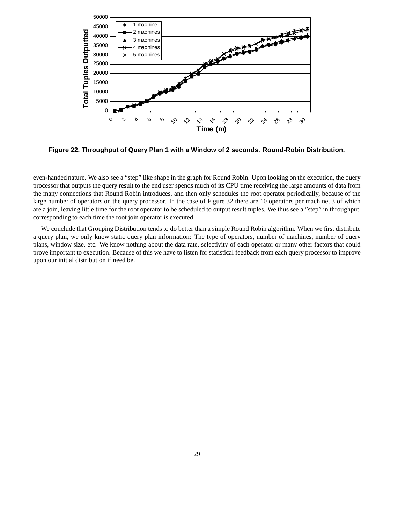

**Figure 22. Throughput of Query Plan 1 with a Window of 2 seconds. Round-Robin Distribution.**

even-handed nature. We also see a "step" like shape in the graph for Round Robin. Upon looking on the execution, the query processor that outputs the query result to the end user spends much of its CPU time receiving the large amounts of data from the many connections that Round Robin introduces, and then only schedules the root operator periodically, because of the large number of operators on the query processor. In the case of Figure 32 there are 10 operators per machine, 3 of which are a join, leaving little time for the root operator to be scheduled to output result tuples. We thus see a "step" in throughput, corresponding to each time the root join operator is executed.

We conclude that Grouping Distribution tends to do better than a simple Round Robin algorithm. When we first distribute a query plan, we only know static query plan information: The type of operators, number of machines, number of query plans, window size, etc. We know nothing about the data rate, selectivity of each operator or many other factors that could prove important to execution. Because of this we have to listen for statistical feedback from each query processor to improve upon our initial distribution if need be.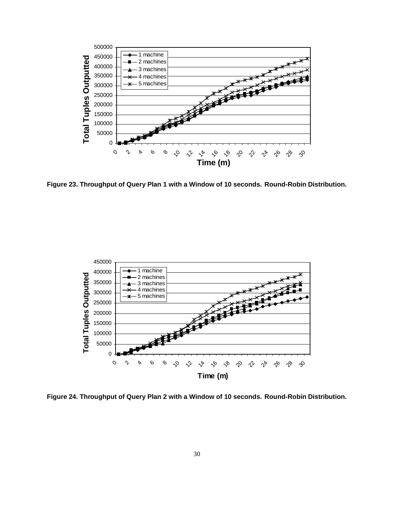

**Figure 23. Throughput of Query Plan 1 with a Window of 10 seconds. Round-Robin Distribution.**



**Figure 24. Throughput of Query Plan 2 with a Window of 10 seconds. Round-Robin Distribution.**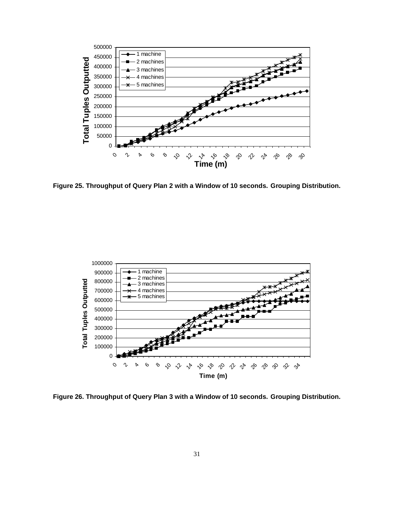

**Figure 25. Throughput of Query Plan 2 with a Window of 10 seconds. Grouping Distribution.**



**Figure 26. Throughput of Query Plan 3 with a Window of 10 seconds. Grouping Distribution.**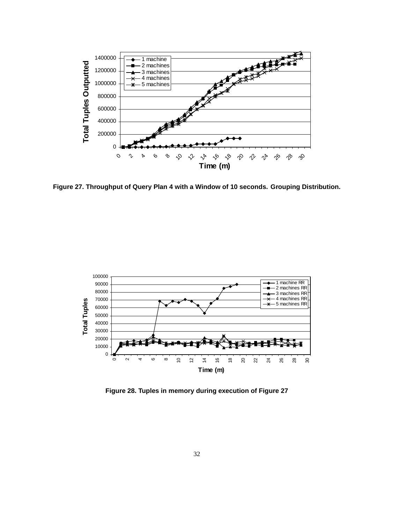

**Figure 27. Throughput of Query Plan 4 with a Window of 10 seconds. Grouping Distribution.**



**Figure 28. Tuples in memory during execution of Figure 27**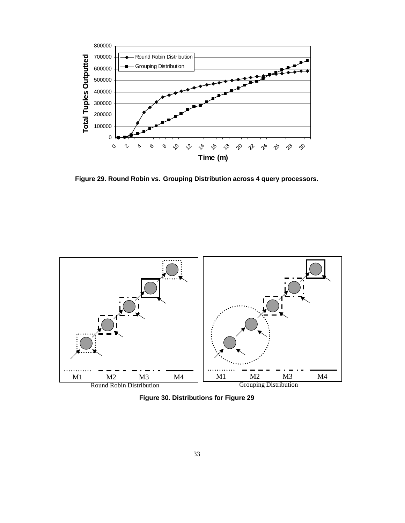

**Figure 29. Round Robin vs. Grouping Distribution across 4 query processors.**



**Figure 30. Distributions for Figure 29**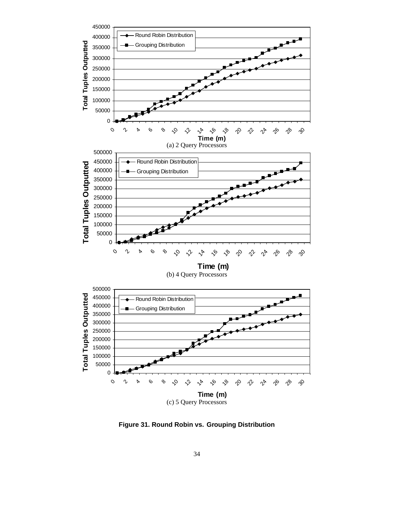

**Figure 31. Round Robin vs. Grouping Distribution**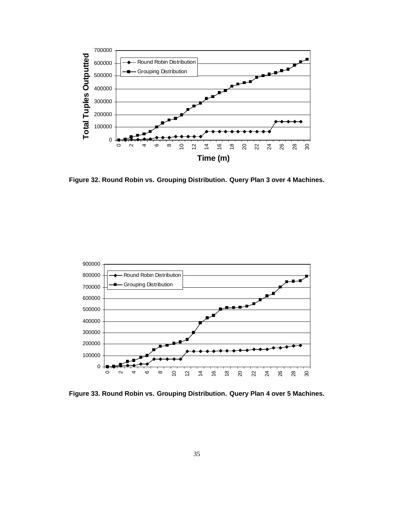

**Figure 32. Round Robin vs. Grouping Distribution. Query Plan 3 over 4 Machines.**



**Figure 33. Round Robin vs. Grouping Distribution. Query Plan 4 over 5 Machines.**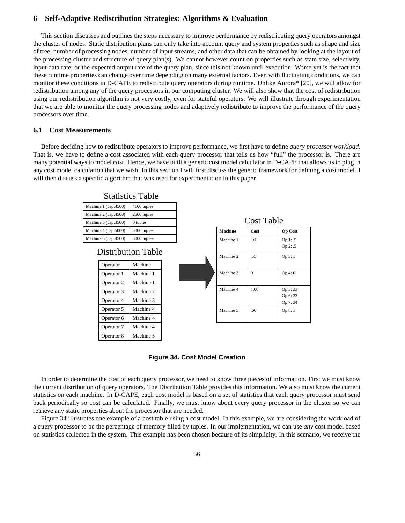## **6 Self-Adaptive Redistribution Strategies: Algorithms & Evaluation**

This section discusses and outlines the steps necessary to improve performance by redistributing query operators amongst the cluster of nodes. Static distribution plans can only take into account query and system properties such as shape and size of tree, number of processing nodes, number of input streams, and other data that can be obtained by looking at the layout of the processing cluster and structure of query plan(s). We cannot however count on properties such as state size, selectivity, input data rate, or the expected output rate of the query plan, since this not known until execution. Worse yet is the fact that these runtime properties can change over time depending on many external factors. Even with fluctuating conditions, we can monitor these conditions in D-CAPE to redistribute query operators during runtime. Unlike Aurora\* [20], we will allow for redistribution among any of the query processors in our computing cluster. We will also show that the cost of redistribution using our redistribution algorithm is not very costly, even for stateful operators. We will illustrate through experimentation that we are able to monitor the query processing nodes and adaptively redistribute to improve the performance of the query processors over time.

#### **6.1 Cost Measurements**

Before deciding how to redistribute operators to improve performance, we first have to define *query processor workload*. That is, we have to define a cost associated with each query processor that tells us how "full" the processor is. There are many potential ways to model cost. Hence, we have built a generic cost model calculator in D-CAPE that allows us to plug in any cost model calculation that we wish. In this section I will first discuss the generic framework for defining a cost model. I will then discuss a specific algorithm that was used for experimentation in this paper.



**Figure 34. Cost Model Creation**

In order to determine the cost of each query processor, we need to know three pieces of information. First we must know the current distribution of query operators. The Distribution Table provides this information. We also must know the current statistics on each machine. In D-CAPE, each cost model is based on a set of statistics that each query processor must send back periodically so cost can be calculated. Finally, we must know about every query processor in the cluster so we can retrieve any static properties about the processor that are needed.

Figure 34 illustrates one example of a cost table using a cost model. In this example, we are considering the workload of a query processor to be the percentage of memory filled by tuples. In our implementation, we can use *any* cost model based on statistics collected in the system. This example has been chosen because of its simplicity. In this scenario, we receive the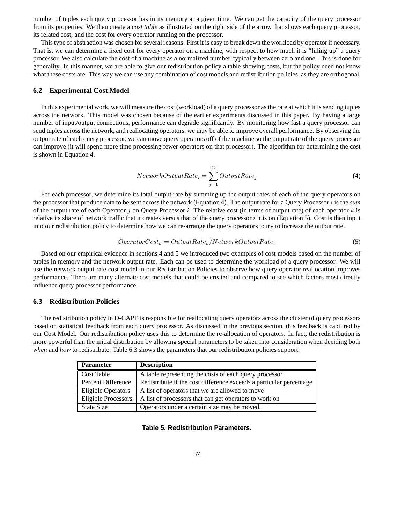number of tuples each query processor has in its memory at a given time. We can get the capacity of the query processor from its properties. We then create a *cost table* as illustrated on the right side of the arrow that shows each query processor, its related cost, and the cost for every operator running on the processor.

This type of abstraction was chosen for several reasons. First it is easy to break down the workload by operator if necessary. That is, we can determine a fixed cost for every operator on a machine, with respect to how much it is "filling up" a query processor. We also calculate the cost of a machine as a normalized number, typically between zero and one. This is done for generality. In this manner, we are able to give our redistribution policy a table showing costs, but the policy need not know what these costs are. This way we can use any combination of cost models and redistribution policies, as they are orthogonal.

### **6.2 Experimental Cost Model**

In this experimental work, we will measure the cost (workload) of a query processor as the rate at which it is sending tuples across the network. This model was chosen because of the earlier experiments discussed in this paper. By having a large number of input/output connections, performance can degrade significantly. By monitoring how fast a query processor can send tuples across the network, and reallocating operators, we may be able to improve overall performance. By observing the output rate of each query processor, we can move query operators off of the machine so the output rate of the query processor can improve (it will spend more time processing fewer operators on that processor). The algorithm for determining the cost is shown in Equation 4.

$$
NetworkOutputRate_i = \sum_{j=1}^{|O|} OutputRate_j \tag{4}
$$

For each processor, we determine its total output rate by summing up the output rates of each of the query operators on the processor that produce data to be sent across the network (Equation 4). The output rate for a Query Processor i is the *sum* of the output rate of each Operator j on Query Processor i. The relative cost (in terms of output rate) of each operator k is relative its share of network traffic that it creates versus that of the query processor  $i$  it is on (Equation 5). Cost is then input into our redistribution policy to determine how we can re-arrange the query operators to try to increase the output rate.

$$
OperatorCost_k = OutputRate_k/NetworkOutputRate_i \tag{5}
$$

Based on our empirical evidence in sections 4 and 5 we introduced two examples of cost models based on the number of tuples in memory and the network output rate. Each can be used to determine the workload of a query processor. We will use the network output rate cost model in our Redistribution Policies to observe how query operator reallocation improves performance. There are many alternate cost models that could be created and compared to see which factors most directly influence query processor performance.

### **6.3 Redistribution Policies**

The redistribution policy in D-CAPE is responsible for reallocating query operators across the cluster of query processors based on statistical feedback from each query processor. As discussed in the previous section, this feedback is captured by our Cost Model. Our redistribution policy uses this to determine the re-allocation of operators. In fact, the redistribution is more powerful than the initial distribution by allowing special parameters to be taken into consideration when deciding both *when* and *how* to redistribute. Table 6.3 shows the parameters that our redistribution policies support.

| <b>Parameter</b>    | <b>Description</b>                                                  |
|---------------------|---------------------------------------------------------------------|
| Cost Table          | A table representing the costs of each query processor              |
| Percent Difference  | Redistribute if the cost difference exceeds a particular percentage |
| Eligible Operators  | A list of operators that we are allowed to move                     |
| Eligible Processors | A list of processors that can get operators to work on              |
| State Size          | Operators under a certain size may be moved.                        |

**Table 5. Redistribution Parameters.**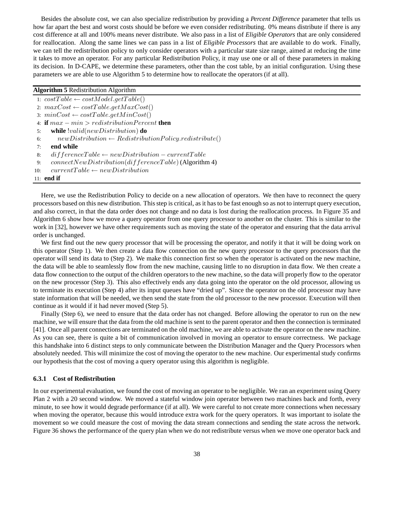Besides the absolute cost, we can also specialize redistribution by providing a *Percent Difference* parameter that tells us how far apart the best and worst costs should be before we even consider redistributing. 0% means distribute if there is any cost difference at all and 100% means never distribute. We also pass in a list of *Eligible Operators* that are only considered for reallocation. Along the same lines we can pass in a list of *Eligible Processors* that are available to do work. Finally, we can tell the redistribution policy to only consider operators with a particular state size range, aimed at reducing the time it takes to move an operator. For any particular Redistribution Policy, it may use one or all of these parameters in making its decision. In D-CAPE, we determine these parameters, other than the cost table, by an initial configuration. Using these parameters we are able to use Algorithm 5 to determine how to reallocate the operators (if at all).

#### **Algorithm 5** Redistribution Algorithm

1:  $costTable \leftarrow costModel.getTable()$ 2:  $maxCost \leftarrow costTable.getMaxCost()$ 3:  $minCost \leftarrow costTable.getMinCost()$ 4: **if** max − min > redistributionPercent **then** 5: **while** !valid(newDistribution) **do** 6:  $newDistribution \leftarrow RedistributionPolicy.red is tribute()$ 7: **end while** 8: differenceTable ← newDistribution – currentTable 9: connect New Distribution(differenceTable) (Algorithm 4) 10:  $currentTable \leftarrow new Distribution$ 11: **end if**

Here, we use the Redistribution Policy to decide on a new allocation of operators. We then have to reconnect the query processors based on this new distribution. This step is critical, as it has to be fast enough so as not to interrupt query execution, and also correct, in that the data order does not change and no data is lost during the reallocation process. In Figure 35 and Algorithm 6 show how we move a query operator from one query processor to another on the cluster. This is similar to the work in [32], however we have other requirements such as moving the state of the operator and ensuring that the data arrival order is unchanged.

We first find out the new query processor that will be processing the operator, and notify it that it will be doing work on this operator (Step 1). We then create a data flow connection on the new query processor to the query processors that the operator will send its data to (Step 2). We make this connection first so when the operator is activated on the new machine, the data will be able to seamlessly flow from the new machine, causing little to no disruption in data flow. We then create a data flow connection to the output of the children operators to the new machine, so the data will properly flow to the operator on the new processor (Step 3). This also effectively ends any data going into the operator on the old processor, allowing us to terminate its execution (Step 4) after its input queues have "dried up". Since the operator on the old processor may have state information that will be needed, we then send the state from the old processor to the new processor. Execution will then continue as it would if it had never moved (Step 5).

Finally (Step 6), we need to ensure that the data order has not changed. Before allowing the operator to run on the new machine, we will ensure that the data from the old machine is sent to the parent operator and then the connection is terminated [41]. Once all parent connections are terminated on the old machine, we are able to activate the operator on the new machine. As you can see, there is quite a bit of communication involved in moving an operator to ensure correctness. We package this handshake into 6 distinct steps to only communicate between the Distribution Manager and the Query Processors when absolutely needed. This will minimize the cost of moving the operator to the new machine. Our experimental study confirms our hypothesis that the cost of moving a query operator using this algorithm is negligible.

#### **6.3.1 Cost of Redistribution**

In our experimental evaluation, we found the cost of moving an operator to be negligible. We ran an experiment using Query Plan 2 with a 20 second window. We moved a stateful window join operator between two machines back and forth, every minute, to see how it would degrade performance (if at all). We were careful to not create more connections when necessary when moving the operator, because this would introduce extra work for the query operators. It was important to isolate the movement so we could measure the cost of moving the data stream connections and sending the state across the network. Figure 36 shows the performance of the query plan when we do not redistribute versus when we move one operator back and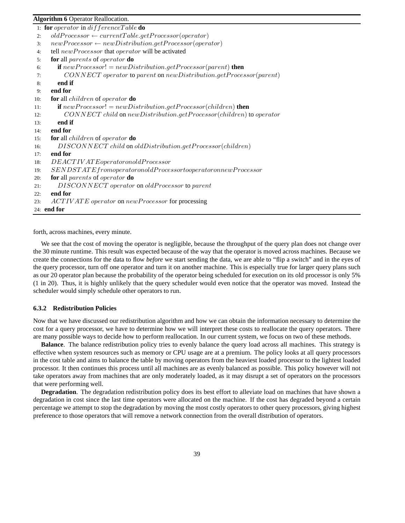#### **Algorithm 6** Operator Reallocation.

| 2:  | 1: for <i>operator</i> in $difference Table$ do<br>$oldProcessor \leftarrow currentTable.getProcessor(openator)$ |
|-----|------------------------------------------------------------------------------------------------------------------|
|     |                                                                                                                  |
| 3:  | $newProcessor \leftarrow new Distribution.getProcessor(openator)$                                                |
| 4:  | tell new Processor that operator will be activated                                                               |
| 5:  | <b>for</b> all parents of operator <b>do</b>                                                                     |
| 6:  | <b>if</b> $newProcessor! = new Distribution.getProcessor(parent)$ <b>then</b>                                    |
| 7:  | $CONNECT$ operator to parent on new Distribution.get Processor(parent)                                           |
| 8:  | end if                                                                                                           |
| 9:  | end for                                                                                                          |
| 10: | <b>for</b> all <i>children</i> of <i>operator</i> <b>do</b>                                                      |
| 11: | <b>if</b> $newProcessor! = new Distribution.getProcessor(children)$ then                                         |
| 12: | $CONNECT$ child on new Distribution.get Processor(children) to operator                                          |
| 13: | end if                                                                                                           |
| 14: | end for                                                                                                          |
| 15: | for all <i>children</i> of <i>operator</i> do                                                                    |
| 16: | DISCONNECT child on oldDistribution.getProcessor(children)                                                       |
| 17: | end for                                                                                                          |
| 18: | DEACTIVATE operator on old Process or                                                                            |
| 19: | $\label{eq:sumST} SENDSTATE from operator on old Process or to operator on new Process or$                       |
| 20: | for all parents of operator do                                                                                   |
| 21: | DISCONNECT operator on oldProcessor to parent                                                                    |
| 22: | end for                                                                                                          |
| 23: | ACTIVATE operator on newProcessor for processing                                                                 |
|     | 24: end for                                                                                                      |

forth, across machines, every minute.

We see that the cost of moving the operator is negligible, because the throughput of the query plan does not change over the 30 minute runtime. This result was expected because of the way that the operator is moved across machines. Because we create the connections for the data to flow *before* we start sending the data, we are able to "flip a switch" and in the eyes of the query processor, turn off one operator and turn it on another machine. This is especially true for larger query plans such as our 20 operator plan because the probability of the operator being scheduled for execution on its old processor is only 5% (1 in 20). Thus, it is highly unlikely that the query scheduler would even notice that the operator was moved. Instead the scheduler would simply schedule other operators to run.

#### **6.3.2 Redistribution Policies**

Now that we have discussed our redistribution algorithm and how we can obtain the information necessary to determine the cost for a query processor, we have to determine how we will interpret these costs to reallocate the query operators. There are many possible ways to decide how to perform reallocation. In our current system, we focus on two of these methods.

**Balance**. The balance redistribution policy tries to evenly balance the query load across all machines. This strategy is effective when system resources such as memory or CPU usage are at a premium. The policy looks at all query processors in the cost table and aims to balance the table by moving operators from the heaviest loaded processor to the lightest loaded processor. It then continues this process until all machines are as evenly balanced as possible. This policy however will not take operators away from machines that are only moderately loaded, as it may disrupt a set of operators on the processors that were performing well.

**Degradation**. The degradation redistribution policy does its best effort to alleviate load on machines that have shown a degradation in cost since the last time operators were allocated on the machine. If the cost has degraded beyond a certain percentage we attempt to stop the degradation by moving the most costly operators to other query processors, giving highest preference to those operators that will remove a network connection from the overall distribution of operators.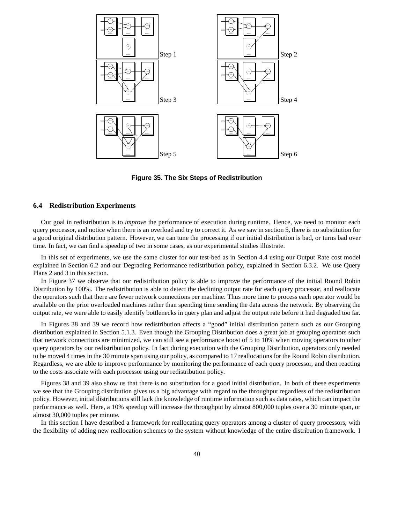

**Figure 35. The Six Steps of Redistribution**

#### **6.4 Redistribution Experiments**

Our goal in redistribution is to *improve* the performance of execution during runtime. Hence, we need to monitor each query processor, and notice when there is an overload and try to correct it. As we saw in section 5, there is no substitution for a good original distribution pattern. However, we can tune the processing if our initial distribution is bad, or turns bad over time. In fact, we can find a speedup of two in some cases, as our experimental studies illustrate.

In this set of experiments, we use the same cluster for our test-bed as in Section 4.4 using our Output Rate cost model explained in Section 6.2 and our Degrading Performance redistribution policy, explained in Section 6.3.2. We use Query Plans 2 and 3 in this section.

In Figure 37 we observe that our redistribution policy is able to improve the performance of the initial Round Robin Distribution by 100%. The redistribution is able to detect the declining output rate for each query processor, and reallocate the operators such that there are fewer network connections per machine. Thus more time to process each operator would be available on the prior overloaded machines rather than spending time sending the data across the network. By observing the output rate, we were able to easily identify bottlenecks in query plan and adjust the output rate before it had degraded too far.

In Figures 38 and 39 we record how redistribution affects a "good" initial distribution pattern such as our Grouping distribution explained in Section 5.1.3. Even though the Grouping Distribution does a great job at grouping operators such that network connections are minimized, we can still see a performance boost of 5 to 10% when moving operators to other query operators by our redistribution policy. In fact during execution with the Grouping Distribution, operators only needed to be moved 4 times in the 30 minute span using our policy, as compared to 17 reallocations for the Round Robin distribution. Regardless, we are able to improve performance by monitoring the performance of each query processor, and then reacting to the costs associate with each processor using our redistribution policy.

Figures 38 and 39 also show us that there is no substitution for a good initial distribution. In both of these experiments we see that the Grouping distribution gives us a big advantage with regard to the throughput regardless of the redistribution policy. However, initial distributions still lack the knowledge of runtime information such as data rates, which can impact the performance as well. Here, a 10% speedup will increase the throughput by almost 800,000 tuples over a 30 minute span, or almost 30,000 tuples per minute.

In this section I have described a framework for reallocating query operators among a cluster of query processors, with the flexibility of adding new reallocation schemes to the system without knowledge of the entire distribution framework. I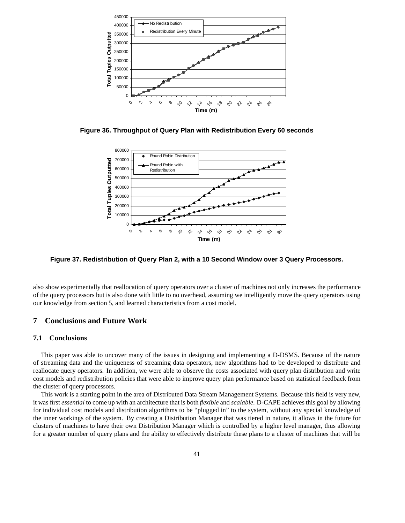

**Figure 36. Throughput of Query Plan with Redistribution Every 60 seconds**



**Figure 37. Redistribution of Query Plan 2, with a 10 Second Window over 3 Query Processors.**

also show experimentally that reallocation of query operators over a cluster of machines not only increases the performance of the query processors but is also done with little to no overhead, assuming we intelligently move the query operators using our knowledge from section 5, and learned characteristics from a cost model.

## **7 Conclusions and Future Work**

## **7.1 Conclusions**

This paper was able to uncover many of the issues in designing and implementing a D-DSMS. Because of the nature of streaming data and the uniqueness of streaming data operators, new algorithms had to be developed to distribute and reallocate query operators. In addition, we were able to observe the costs associated with query plan distribution and write cost models and redistribution policies that were able to improve query plan performance based on statistical feedback from the cluster of query processors.

This work is a starting point in the area of Distributed Data Stream Management Systems. Because this field is very new, it was first *essential* to come up with an architecture that is both *flexible* and *scalable*. D-CAPE achieves this goal by allowing for individual cost models and distribution algorithms to be "plugged in" to the system, without any special knowledge of the inner workings of the system. By creating a Distribution Manager that was tiered in nature, it allows in the future for clusters of machines to have their own Distribution Manager which is controlled by a higher level manager, thus allowing for a greater number of query plans and the ability to effectively distribute these plans to a cluster of machines that will be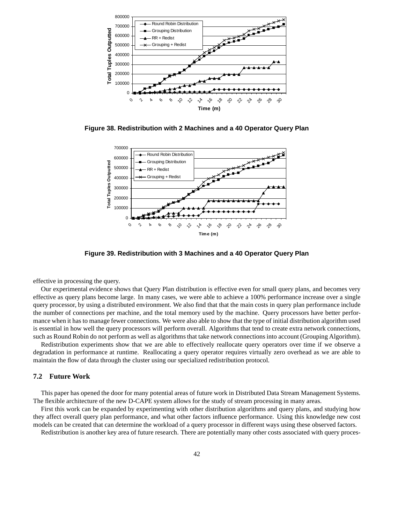

**Figure 38. Redistribution with 2 Machines and a 40 Operator Query Plan**



**Figure 39. Redistribution with 3 Machines and a 40 Operator Query Plan**

effective in processing the query.

Our experimental evidence shows that Query Plan distribution is effective even for small query plans, and becomes very effective as query plans become large. In many cases, we were able to achieve a 100% performance increase over a single query processor, by using a distributed environment. We also find that that the main costs in query plan performance include the number of connections per machine, and the total memory used by the machine. Query processors have better performance when it has to manage fewer connections. We were also able to show that the type of initial distribution algorithm used is essential in how well the query processors will perform overall. Algorithms that tend to create extra network connections, such as Round Robin do not perform as well as algorithms that take network connections into account (Grouping Algorithm).

Redistribution experiments show that we are able to effectively reallocate query operators over time if we observe a degradation in performance at runtime. Reallocating a query operator requires virtually zero overhead as we are able to maintain the flow of data through the cluster using our specialized redistribution protocol.

#### **7.2 Future Work**

This paper has opened the door for many potential areas of future work in Distributed Data Stream Management Systems. The flexible architecture of the new D-CAPE system allows for the study of stream processing in many areas.

First this work can be expanded by experimenting with other distribution algorithms and query plans, and studying how they affect overall query plan performance, and what other factors influence performance. Using this knowledge new cost models can be created that can determine the workload of a query processor in different ways using these observed factors.

Redistribution is another key area of future research. There are potentially many other costs associated with query proces-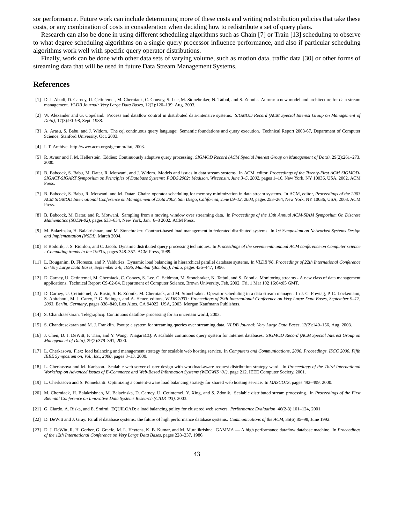sor performance. Future work can include determining more of these costs and writing redistribution policies that take these costs, or any combination of costs in consideration when deciding how to redistribute a set of query plans.

Research can also be done in using different scheduling algorithms such as Chain [7] or Train [13] scheduling to observe to what degree scheduling algorithms on a single query processor influence performance, and also if particular scheduling algorithms work well with specific query operator distributions.

Finally, work can be done with other data sets of varying volume, such as motion data, traffic data [30] or other forms of streaming data that will be used in future Data Stream Management Systems.

## **References**

- [1] D. J. Abadi, D. Carney, U. Çetintemel, M. Cherniack, C. Convey, S. Lee, M. Stonebraker, N. Tatbul, and S. Zdonik. Aurora: a new model and architecture for data stream management. *VLDB Journal: Very Large Data Bases*, 12(2):120–139, Aug. 2003.
- [2] W. Alexander and G. Copeland. Process and dataflow control in distributed data-intensive systems. *SIGMOD Record (ACM Special Interest Group on Management of Data)*, 17(3):90–98, Sept. 1988.
- [3] A. Arasu, S. Babu, and J. Widom. The cql continuous query language: Semantic foundations and query execution. Technical Report 2003-67, Department of Computer Science, Stanford University, Oct. 2003.
- [4] I. T. Archive. http://www.acm.org/sigcomm/ita/, 2003.
- [5] R. Avnur and J. M. Hellerstein. Eddies: Continuously adaptive query processing. *SIGMOD Record (ACM Special Interest Group on Management of Data)*, 29(2):261–273, 2000.
- [6] B. Babcock, S. Babu, M. Datar, R. Motwani, and J. Widom. Models and issues in data stream systems. In ACM, editor, *Proceedings of the Twenty-First ACM SIGMOD-SIGACT-SIGART Symposium on Principles of Database Systems: PODS 2002: Madison, Wisconsin, June 3–5, 2002*, pages 1–16, New York, NY 10036, USA, 2002. ACM Press.
- [7] B. Babcock, S. Babu, R. Motwani, and M. Datar. Chain: operator scheduling for memory minimization in data stream systems. In ACM, editor, *Proceedings of the 2003 ACM SIGMOD International Conference on Management of Data 2003, San Diego, California, June 09–12, 2003*, pages 253–264, New York, NY 10036, USA, 2003. ACM Press.
- [8] B. Babcock, M. Datar, and R. Motwani. Sampling from a moving window over streaming data. In *Proceedings of the 13th Annual ACM-SIAM Symposium On Discrete Mathematics (SODA-02)*, pages 633–634, New York, Jan. 6–8 2002. ACM Press.
- [9] M. Balazinska, H. Balakrishnan, and M. Stonebraker. Contract-based load management in federated distributed systems. In *1st Symposium on Networked Systems Design and Implementation (NSDI)*, March 2004.
- [10] P. Bodorik, J. S. Riordon, and C. Jacob. Dynamic distributed query processing techniques. In *Proceedings of the seventeenth annual ACM conference on Computer science : Computing trends in the 1990's*, pages 348–357. ACM Press, 1989.
- [11] L. Bouganim, D. Florescu, and P. Valduriez. Dynamic load balancing in hierarchical parallel database systems. In *VLDB'96, Proceedings of 22th International Conference on Very Large Data Bases, September 3-6, 1996, Mumbai (Bombay), India*, pages 436–447, 1996.
- [12] D. Carney, U. Cetintemel, M. Cherniack, C. Convey, S. Lee, G. Seidman, M. Stonebraker, N. Tatbul, and S. Zdonik. Monitoring streams A new class of data management applications. Technical Report CS-02-04, Department of Computer Science, Brown University, Feb. 2002. Fri, 1 Mar 102 16:04:05 GMT.
- [13] D. Carney, U. Cetintemel, A. Rasin, S. B. Zdonik, M. Cherniack, and M. Stonebraker. Operator scheduling in a data stream manager. In J. C. Freytag, P. C. Lockemann, S. Abiteboul, M. J. Carey, P. G. Selinger, and A. Heuer, editors, *VLDB 2003: Proceedings of 29th International Conference on Very Large Data Bases, September 9–12, 2003, Berlin, Germany*, pages 838–849, Los Altos, CA 94022, USA, 2003. Morgan Kaufmann Publishers.
- [14] S. Chandrasekaran. Telegraphcq: Continuous dataflow processing for an uncertain world, 2003.
- [15] S. Chandrasekaran and M. J. Franklin. Psoup: a system for streaming queries over streaming data. *VLDB Journal: Very Large Data Bases*, 12(2):140–156, Aug. 2003.
- [16] J. Chen, D. J. DeWitt, F. Tian, and Y. Wang. NiagaraCQ: A scalable continuous query system for Internet databases. *SIGMOD Record (ACM Special Interest Group on Management of Data)*, 29(2):379–391, 2000.
- [17] L. Cherkasova. Flex: load balancing and management strategy for scalable web hosting service. In *Computers and Communications, 2000. Proceedings. ISCC 2000. Fifth IEEE Symposium on, Vol., Iss., 2000*, pages 8–13, 2000.
- [18] L. Cherkasova and M. Karlsson. Scalable web server cluster design with workload-aware request distribution strategy ward. In *Proceedings of the Third International Workshop on Advanced Issues of E-Commerce and Web-Based Information Systems (WECWIS '01)*, page 212. IEEE Computer Society, 2001.
- [19] L. Cherkasova and S. Ponnekanti. Optimizing a content–aware load balancing strategy for shared web hosting service. In *MASCOTS*, pages 492–499, 2000.
- [20] M. Cherniack, H. Balakrishnan, M. Balazinska, D. Carney, U. Cetintemel, Y. Xing, and S. Zdonik. Scalable distributed stream processing. In *Proceedings of the First Biennial Conference on Innovative Data Systems Research (CIDR '03)*, 2003.
- [21] G. Ciardo, A. Riska, and E. Smirni. EQUILOAD: a load balancing policy for clustered web servers. *Performance Evaluation*, 46(2-3):101–124, 2001.
- [22] D. DeWitt and J. Gray. Parallel database systems: the future of high performance database systems. *Communications of the ACM*, 35(6):85–98, June 1992.
- [23] D. J. DeWitt, R. H. Gerber, G. Graefe, M. L. Heytens, K. B. Kumar, and M. Muralikrishna. GAMMA A high performance dataflow database machine. In *Proceedings of the 12th International Conference on Very Large Data Bases*, pages 228–237, 1986.